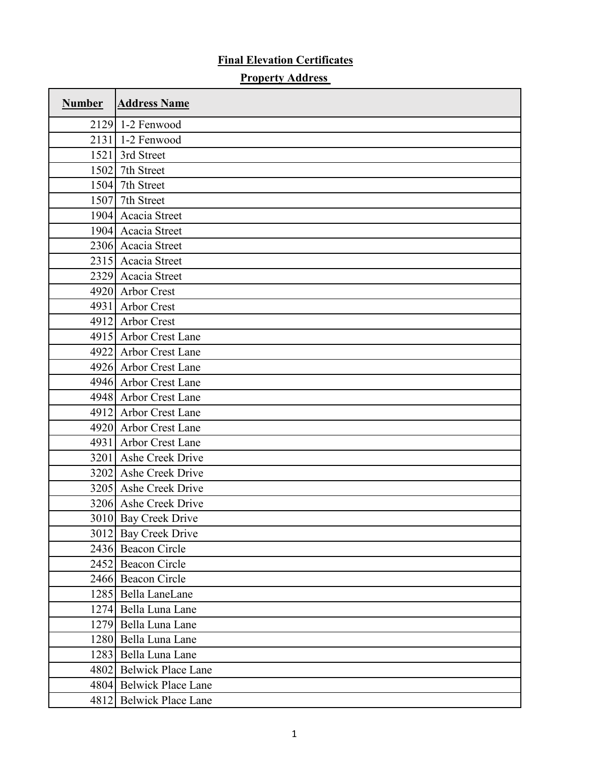## **Final Elevation Certificates**

## **Property Address**

 $\mathbf{r}$ 

٦

 $\overline{\mathbf{1}}$ 

| <b>Number</b> | <b>Address Name</b>     |
|---------------|-------------------------|
|               | 2129 1-2 Fenwood        |
|               | 2131 1-2 Fenwood        |
|               | 1521 3rd Street         |
|               | 1502 7th Street         |
|               | 1504 7th Street         |
|               | 1507 7th Street         |
|               | 1904 Acacia Street      |
|               | 1904 Acacia Street      |
|               | 2306 Acacia Street      |
|               | 2315 Acacia Street      |
|               | 2329 Acacia Street      |
|               | 4920 Arbor Crest        |
|               | 4931 Arbor Crest        |
|               | 4912 Arbor Crest        |
|               | 4915 Arbor Crest Lane   |
|               | 4922 Arbor Crest Lane   |
|               | 4926 Arbor Crest Lane   |
|               | 4946 Arbor Crest Lane   |
|               | 4948 Arbor Crest Lane   |
|               | 4912 Arbor Crest Lane   |
|               | 4920 Arbor Crest Lane   |
|               | 4931 Arbor Crest Lane   |
|               | 3201 Ashe Creek Drive   |
|               | 3202 Ashe Creek Drive   |
|               | 3205 Ashe Creek Drive   |
|               | 3206 Ashe Creek Drive   |
|               | 3010 Bay Creek Drive    |
|               | 3012 Bay Creek Drive    |
|               | 2436 Beacon Circle      |
|               | 2452 Beacon Circle      |
|               | 2466 Beacon Circle      |
|               | 1285 Bella LaneLane     |
|               | 1274 Bella Luna Lane    |
|               | 1279 Bella Luna Lane    |
|               | 1280 Bella Luna Lane    |
|               | 1283 Bella Luna Lane    |
|               | 4802 Belwick Place Lane |
|               | 4804 Belwick Place Lane |
|               | 4812 Belwick Place Lane |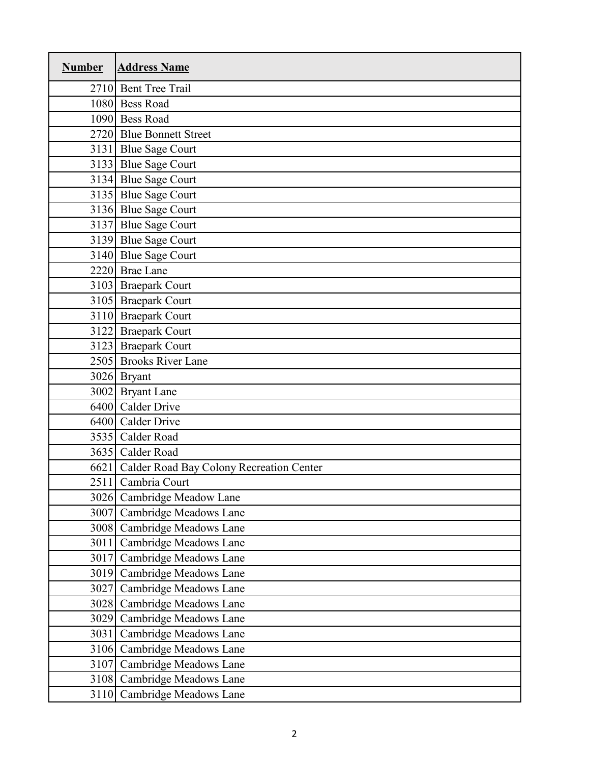| <b>Number</b> | <b>Address Name</b>                           |
|---------------|-----------------------------------------------|
|               | 2710 Bent Tree Trail                          |
|               | 1080 Bess Road                                |
|               | 1090 Bess Road                                |
|               | 2720 Blue Bonnett Street                      |
|               | 3131 Blue Sage Court                          |
|               | 3133 Blue Sage Court                          |
|               | 3134 Blue Sage Court                          |
|               | 3135 Blue Sage Court                          |
|               | 3136 Blue Sage Court                          |
|               | 3137 Blue Sage Court                          |
|               | 3139 Blue Sage Court                          |
|               | 3140 Blue Sage Court                          |
|               | 2220 Brae Lane                                |
|               | 3103 Braepark Court                           |
|               | 3105 Braepark Court                           |
|               | 3110 Braepark Court                           |
|               | 3122 Braepark Court                           |
|               | 3123 Braepark Court                           |
|               | 2505 Brooks River Lane                        |
|               | 3026 Bryant                                   |
|               | 3002 Bryant Lane                              |
|               | 6400 Calder Drive                             |
|               | 6400 Calder Drive                             |
|               | 3535 Calder Road                              |
|               | 3635 Calder Road                              |
|               | 6621 Calder Road Bay Colony Recreation Center |
|               | 2511 Cambria Court                            |
|               | 3026 Cambridge Meadow Lane                    |
|               | 3007 Cambridge Meadows Lane                   |
|               | 3008 Cambridge Meadows Lane                   |
|               | 3011 Cambridge Meadows Lane                   |
| 3017          | Cambridge Meadows Lane                        |
| 3019          | Cambridge Meadows Lane                        |
|               | 3027 Cambridge Meadows Lane                   |
| 3028          | Cambridge Meadows Lane                        |
| 3029          | Cambridge Meadows Lane                        |
| 3031          | Cambridge Meadows Lane                        |
| 3106          | Cambridge Meadows Lane                        |
|               | 3107 Cambridge Meadows Lane                   |
|               | 3108 Cambridge Meadows Lane                   |
|               | 3110 Cambridge Meadows Lane                   |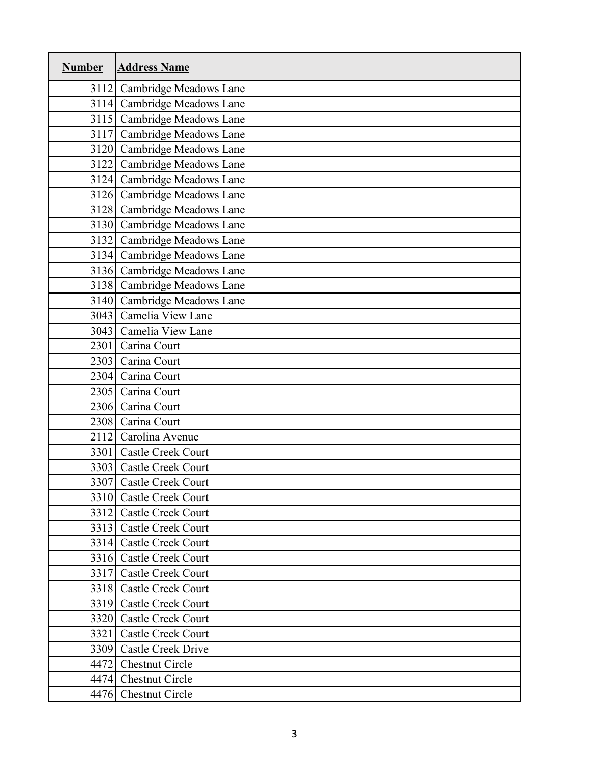| <b>Number</b> | <b>Address Name</b>         |
|---------------|-----------------------------|
|               | 3112 Cambridge Meadows Lane |
|               | 3114 Cambridge Meadows Lane |
|               | 3115 Cambridge Meadows Lane |
|               | 3117 Cambridge Meadows Lane |
|               | 3120 Cambridge Meadows Lane |
|               | 3122 Cambridge Meadows Lane |
|               | 3124 Cambridge Meadows Lane |
|               | 3126 Cambridge Meadows Lane |
|               | 3128 Cambridge Meadows Lane |
|               | 3130 Cambridge Meadows Lane |
|               | 3132 Cambridge Meadows Lane |
|               | 3134 Cambridge Meadows Lane |
|               | 3136 Cambridge Meadows Lane |
|               | 3138 Cambridge Meadows Lane |
|               | 3140 Cambridge Meadows Lane |
|               | 3043 Camelia View Lane      |
|               | 3043 Camelia View Lane      |
|               | 2301 Carina Court           |
|               | 2303 Carina Court           |
|               | 2304 Carina Court           |
|               | 2305 Carina Court           |
|               | 2306 Carina Court           |
|               | 2308 Carina Court           |
|               | 2112 Carolina Avenue        |
|               | 3301 Castle Creek Court     |
|               | 3303 Castle Creek Court     |
|               | 3307 Castle Creek Court     |
|               | 3310 Castle Creek Court     |
|               | 3312 Castle Creek Court     |
|               | 3313 Castle Creek Court     |
|               | 3314 Castle Creek Court     |
|               | 3316 Castle Creek Court     |
|               | 3317 Castle Creek Court     |
|               | 3318 Castle Creek Court     |
|               | 3319 Castle Creek Court     |
|               | 3320 Castle Creek Court     |
|               | 3321 Castle Creek Court     |
|               | 3309 Castle Creek Drive     |
|               | 4472 Chestnut Circle        |
|               | 4474 Chestnut Circle        |
|               | 4476 Chestnut Circle        |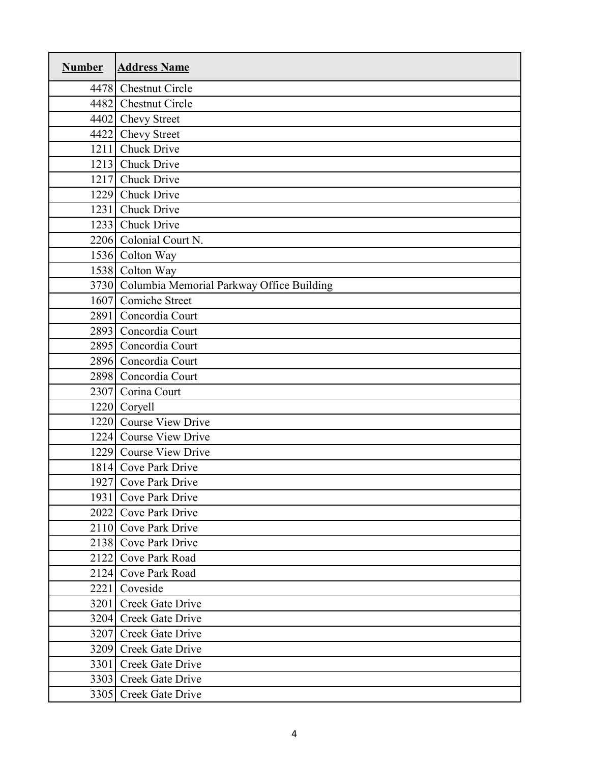| <b>Number</b> | <b>Address Name</b>                            |
|---------------|------------------------------------------------|
|               | 4478 Chestnut Circle                           |
|               | 4482 Chestnut Circle                           |
|               | 4402 Chevy Street                              |
|               | 4422 Chevy Street                              |
|               | 1211 Chuck Drive                               |
|               | 1213 Chuck Drive                               |
|               | 1217 Chuck Drive                               |
|               | 1229 Chuck Drive                               |
|               | 1231 Chuck Drive                               |
|               | 1233 Chuck Drive                               |
|               | 2206 Colonial Court N.                         |
|               | 1536 Colton Way                                |
|               | 1538 Colton Way                                |
|               | 3730 Columbia Memorial Parkway Office Building |
|               | 1607 Comiche Street                            |
|               | 2891 Concordia Court                           |
|               | 2893 Concordia Court                           |
|               | 2895 Concordia Court                           |
|               | 2896 Concordia Court                           |
|               | 2898 Concordia Court                           |
|               | 2307 Corina Court                              |
|               | 1220 Coryell                                   |
|               | 1220 Course View Drive                         |
|               | 1224 Course View Drive                         |
|               | 1229 Course View Drive                         |
|               | 1814 Cove Park Drive                           |
|               | 1927 Cove Park Drive                           |
|               | 1931 Cove Park Drive                           |
|               | 2022 Cove Park Drive                           |
|               | 2110 Cove Park Drive                           |
|               | 2138 Cove Park Drive                           |
| 2122          | Cove Park Road                                 |
|               | 2124 Cove Park Road                            |
|               | 2221 Coveside                                  |
| 3201          | Creek Gate Drive                               |
|               | 3204 Creek Gate Drive                          |
|               | 3207 Creek Gate Drive                          |
|               | 3209 Creek Gate Drive                          |
|               | 3301 Creek Gate Drive                          |
|               | 3303 Creek Gate Drive                          |
|               | 3305 Creek Gate Drive                          |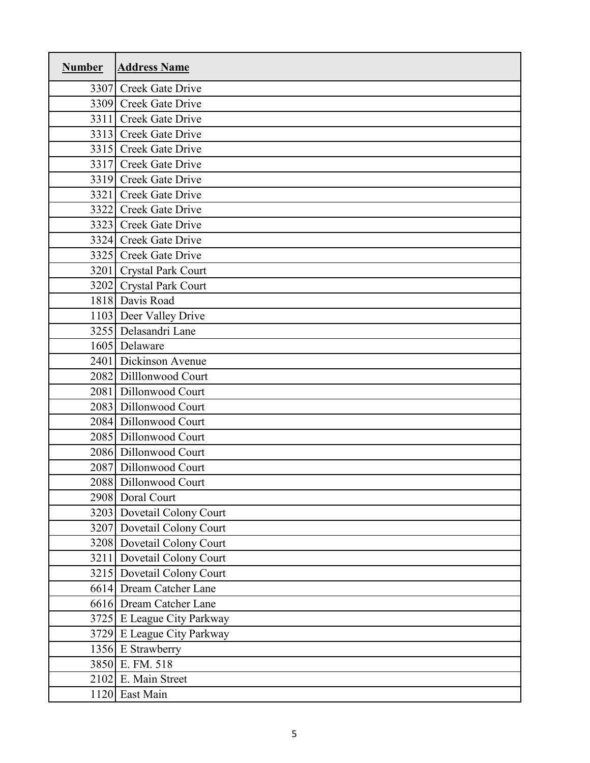| <b>Number</b> | <b>Address Name</b>        |
|---------------|----------------------------|
|               | 3307 Creek Gate Drive      |
|               | 3309 Creek Gate Drive      |
|               | 3311 Creek Gate Drive      |
|               | 3313 Creek Gate Drive      |
|               | 3315 Creek Gate Drive      |
|               | 3317 Creek Gate Drive      |
|               | 3319 Creek Gate Drive      |
|               | 3321 Creek Gate Drive      |
|               | 3322 Creek Gate Drive      |
|               | 3323 Creek Gate Drive      |
|               | 3324 Creek Gate Drive      |
|               | 3325 Creek Gate Drive      |
|               | 3201 Crystal Park Court    |
|               | 3202 Crystal Park Court    |
|               | 1818 Davis Road            |
|               | 1103 Deer Valley Drive     |
|               | 3255 Delasandri Lane       |
|               | 1605 Delaware              |
|               | 2401 Dickinson Avenue      |
| 2082          | Dillonwood Court           |
|               | 2081 Dillonwood Court      |
|               | 2083 Dillonwood Court      |
|               | 2084 Dillonwood Court      |
|               | 2085 Dillonwood Court      |
|               | 2086 Dillonwood Court      |
|               | 2087 Dillonwood Court      |
|               | 2088 Dillonwood Court      |
|               | 2908 Doral Court           |
|               | 3203 Dovetail Colony Court |
|               | 3207 Dovetail Colony Court |
|               | 3208 Dovetail Colony Court |
|               | 3211 Dovetail Colony Court |
|               | 3215 Dovetail Colony Court |
|               | 6614 Dream Catcher Lane    |
|               | 6616 Dream Catcher Lane    |
|               | 3725 E League City Parkway |
|               | 3729 E League City Parkway |
|               | 1356 E Strawberry          |
|               | 3850 E. FM. 518            |
|               | 2102 E. Main Street        |
|               | 1120 East Main             |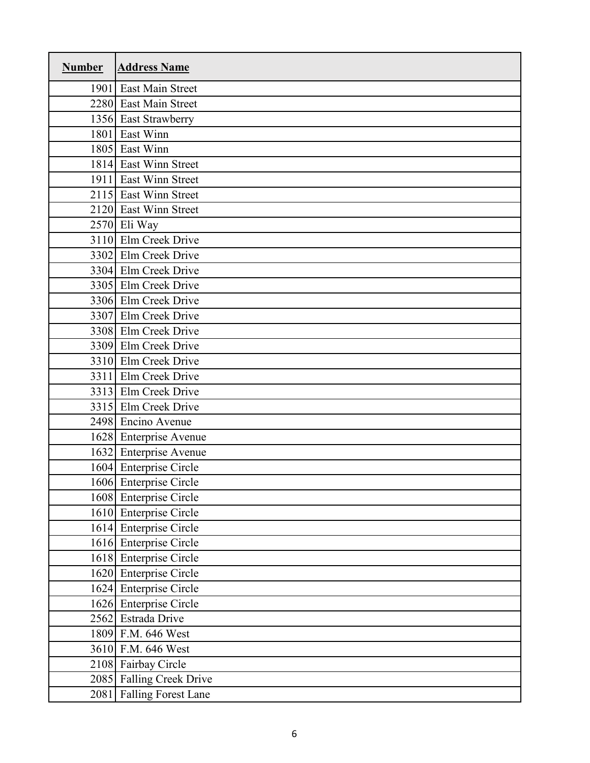| <b>Number</b> | <b>Address Name</b>        |
|---------------|----------------------------|
|               | 1901 East Main Street      |
|               | 2280 East Main Street      |
|               | 1356 East Strawberry       |
| 1801          | East Winn                  |
|               | 1805 East Winn             |
|               | 1814 East Winn Street      |
|               | 1911 East Winn Street      |
|               | 2115 East Winn Street      |
|               | 2120 East Winn Street      |
|               | 2570 Eli Way               |
|               | 3110 Elm Creek Drive       |
|               | 3302 Elm Creek Drive       |
|               | 3304 Elm Creek Drive       |
|               | 3305 Elm Creek Drive       |
|               | 3306 Elm Creek Drive       |
|               | 3307 Elm Creek Drive       |
|               | 3308 Elm Creek Drive       |
|               | 3309 Elm Creek Drive       |
|               | 3310 Elm Creek Drive       |
| 3311          | Elm Creek Drive            |
|               | 3313 Elm Creek Drive       |
|               | 3315 Elm Creek Drive       |
|               | 2498 Encino Avenue         |
|               | 1628 Enterprise Avenue     |
|               | 1632 Enterprise Avenue     |
|               | 1604 Enterprise Circle     |
|               | 1606 Enterprise Circle     |
|               | 1608 Enterprise Circle     |
|               | 1610 Enterprise Circle     |
|               | 1614 Enterprise Circle     |
|               | 1616 Enterprise Circle     |
|               | 1618 Enterprise Circle     |
|               | 1620 Enterprise Circle     |
|               | 1624 Enterprise Circle     |
|               | 1626 Enterprise Circle     |
|               | 2562 Estrada Drive         |
|               | 1809 F.M. 646 West         |
|               | 3610 F.M. 646 West         |
|               | 2108 Fairbay Circle        |
|               | 2085 Falling Creek Drive   |
| 2081          | <b>Falling Forest Lane</b> |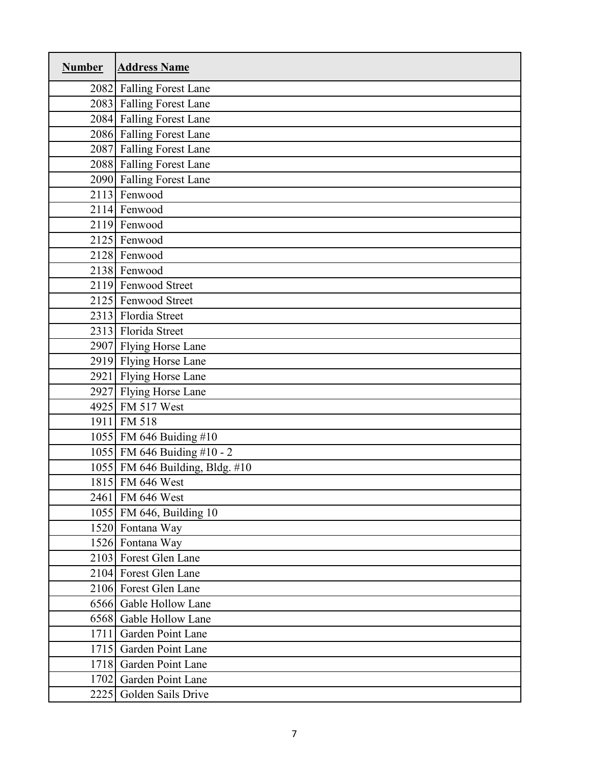| <b>Number</b> | <b>Address Name</b>             |
|---------------|---------------------------------|
|               | 2082 Falling Forest Lane        |
|               | 2083 Falling Forest Lane        |
|               | 2084 Falling Forest Lane        |
|               | 2086 Falling Forest Lane        |
|               | 2087 Falling Forest Lane        |
|               | 2088 Falling Forest Lane        |
|               | 2090 Falling Forest Lane        |
|               | 2113 Fenwood                    |
|               | 2114 Fenwood                    |
|               | 2119 Fenwood                    |
|               | 2125 Fenwood                    |
|               | 2128 Fenwood                    |
|               | 2138 Fenwood                    |
|               | 2119 Fenwood Street             |
|               | 2125 Fenwood Street             |
|               | 2313 Flordia Street             |
|               | 2313 Florida Street             |
|               | 2907 Flying Horse Lane          |
|               | 2919 Flying Horse Lane          |
|               | 2921 Flying Horse Lane          |
|               | 2927 Flying Horse Lane          |
|               | 4925 FM 517 West                |
|               | 1911 FM 518                     |
|               | 1055 FM 646 Buiding #10         |
|               | 1055 FM 646 Buiding #10 - 2     |
|               | 1055 FM 646 Building, Bldg. #10 |
|               | 1815 FM 646 West                |
|               | 2461 FM 646 West                |
|               | 1055 FM 646, Building 10        |
|               | 1520 Fontana Way                |
|               | 1526 Fontana Way                |
|               | 2103 Forest Glen Lane           |
|               | 2104 Forest Glen Lane           |
|               | 2106 Forest Glen Lane           |
| 6566          | Gable Hollow Lane               |
|               | 6568 Gable Hollow Lane          |
| 1711          | Garden Point Lane               |
| 1715          | Garden Point Lane               |
|               | 1718 Garden Point Lane          |
| 1702          | Garden Point Lane               |
|               | 2225 Golden Sails Drive         |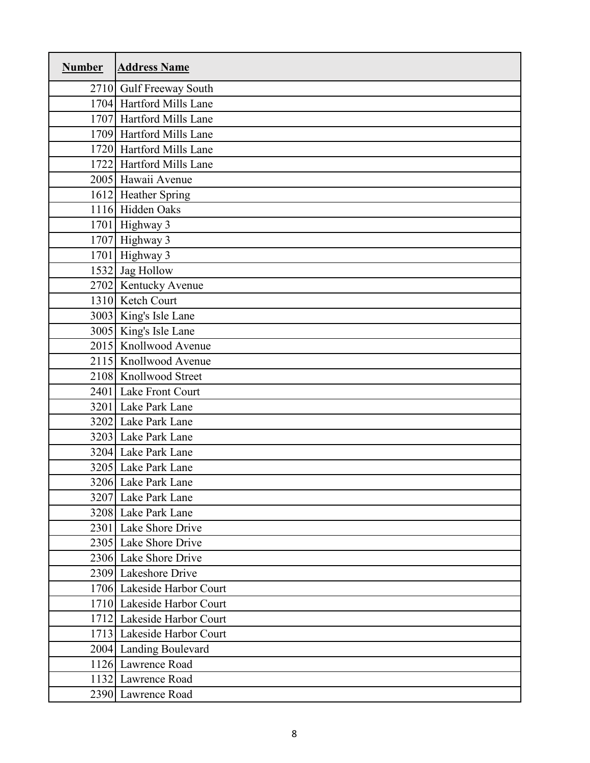| <b>Number</b> | <b>Address Name</b>        |
|---------------|----------------------------|
|               | 2710 Gulf Freeway South    |
|               | 1704 Hartford Mills Lane   |
|               | 1707 Hartford Mills Lane   |
|               | 1709 Hartford Mills Lane   |
|               | 1720 Hartford Mills Lane   |
|               | 1722 Hartford Mills Lane   |
|               | 2005 Hawaii Avenue         |
|               | 1612 Heather Spring        |
|               | 1116 Hidden Oaks           |
|               | 1701 Highway 3             |
|               | 1707 Highway 3             |
|               | 1701 Highway 3             |
|               | 1532 Jag Hollow            |
|               | 2702 Kentucky Avenue       |
|               | 1310 Ketch Court           |
|               | 3003 King's Isle Lane      |
|               | 3005 King's Isle Lane      |
|               | 2015 Knollwood Avenue      |
|               | 2115 Knollwood Avenue      |
|               | 2108 Knollwood Street      |
|               | 2401 Lake Front Court      |
|               | 3201 Lake Park Lane        |
|               | 3202 Lake Park Lane        |
|               | 3203 Lake Park Lane        |
|               | 3204 Lake Park Lane        |
|               | 3205 Lake Park Lane        |
|               | 3206 Lake Park Lane        |
|               | 3207 Lake Park Lane        |
|               | 3208 Lake Park Lane        |
|               | 2301 Lake Shore Drive      |
|               | 2305 Lake Shore Drive      |
|               | 2306 Lake Shore Drive      |
|               | 2309 Lakeshore Drive       |
|               | 1706 Lakeside Harbor Court |
|               | 1710 Lakeside Harbor Court |
|               | 1712 Lakeside Harbor Court |
|               | 1713 Lakeside Harbor Court |
|               | 2004 Landing Boulevard     |
|               | 1126 Lawrence Road         |
|               | 1132 Lawrence Road         |
|               | 2390 Lawrence Road         |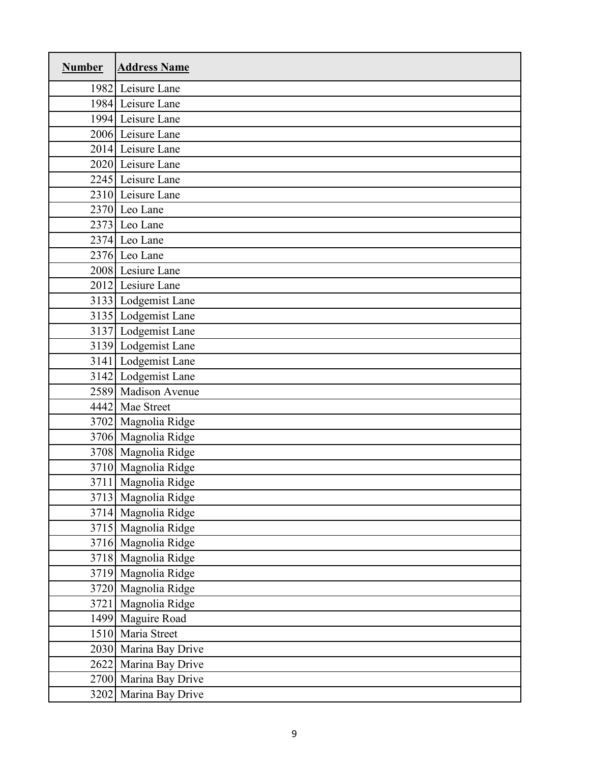| <b>Number</b> | <b>Address Name</b>   |
|---------------|-----------------------|
|               | 1982 Leisure Lane     |
|               | 1984 Leisure Lane     |
|               | 1994 Leisure Lane     |
|               | 2006 Leisure Lane     |
|               | 2014 Leisure Lane     |
|               | 2020 Leisure Lane     |
|               | 2245 Leisure Lane     |
|               | 2310 Leisure Lane     |
|               | 2370 Leo Lane         |
|               | 2373 Leo Lane         |
|               | 2374 Leo Lane         |
|               | 2376 Leo Lane         |
|               | 2008 Lesiure Lane     |
|               | 2012 Lesiure Lane     |
|               | 3133 Lodgemist Lane   |
|               | 3135 Lodgemist Lane   |
|               | 3137 Lodgemist Lane   |
|               | 3139 Lodgemist Lane   |
|               | 3141 Lodgemist Lane   |
|               | 3142 Lodgemist Lane   |
|               | 2589 Madison Avenue   |
|               | 4442 Mae Street       |
|               | 3702 Magnolia Ridge   |
|               | 3706 Magnolia Ridge   |
|               | 3708 Magnolia Ridge   |
|               | 3710 Magnolia Ridge   |
|               | 3711 Magnolia Ridge   |
|               | 3713 Magnolia Ridge   |
|               | 3714 Magnolia Ridge   |
|               | 3715 Magnolia Ridge   |
|               | 3716 Magnolia Ridge   |
|               | 3718 Magnolia Ridge   |
|               | 3719 Magnolia Ridge   |
|               | 3720 Magnolia Ridge   |
|               | 3721 Magnolia Ridge   |
|               | 1499 Maguire Road     |
|               | 1510 Maria Street     |
|               | 2030 Marina Bay Drive |
|               | 2622 Marina Bay Drive |
|               | 2700 Marina Bay Drive |
| 3202          | Marina Bay Drive      |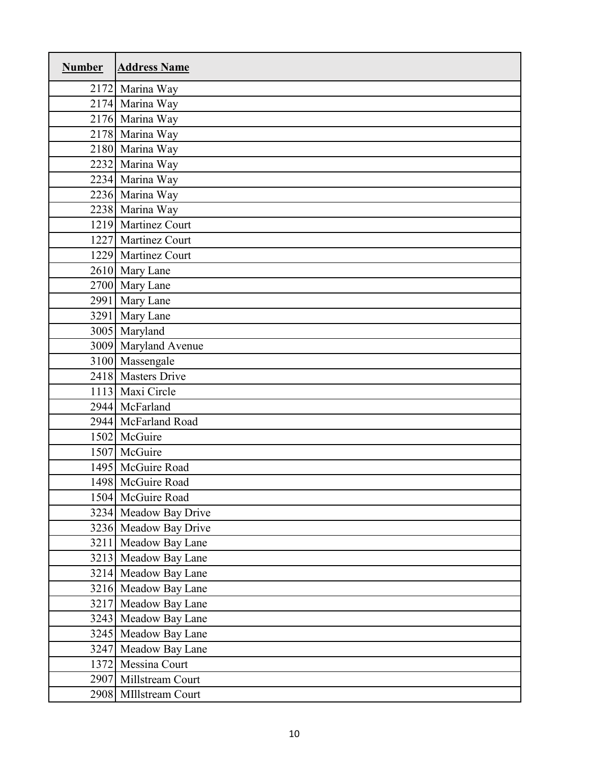| <b>Number</b> | <b>Address Name</b>   |
|---------------|-----------------------|
|               | 2172 Marina Way       |
|               | 2174 Marina Way       |
|               | 2176 Marina Way       |
|               | 2178 Marina Way       |
|               | 2180 Marina Way       |
|               | 2232 Marina Way       |
|               | 2234 Marina Way       |
|               | 2236 Marina Way       |
|               | 2238 Marina Way       |
|               | 1219 Martinez Court   |
|               | 1227 Martinez Court   |
|               | 1229 Martinez Court   |
|               | 2610 Mary Lane        |
|               | 2700 Mary Lane        |
|               | 2991 Mary Lane        |
|               | 3291 Mary Lane        |
|               | 3005 Maryland         |
|               | 3009 Maryland Avenue  |
|               | 3100 Massengale       |
|               | 2418 Masters Drive    |
|               | 1113 Maxi Circle      |
|               | 2944 McFarland        |
|               | 2944 McFarland Road   |
|               | 1502 McGuire          |
|               | 1507 McGuire          |
|               | 1495 McGuire Road     |
|               | 1498 McGuire Road     |
|               | 1504 McGuire Road     |
|               | 3234 Meadow Bay Drive |
|               | 3236 Meadow Bay Drive |
|               | 3211 Meadow Bay Lane  |
|               | 3213 Meadow Bay Lane  |
|               | 3214 Meadow Bay Lane  |
|               | 3216 Meadow Bay Lane  |
|               | 3217 Meadow Bay Lane  |
|               | 3243 Meadow Bay Lane  |
|               | 3245 Meadow Bay Lane  |
|               | 3247 Meadow Bay Lane  |
|               | 1372 Messina Court    |
|               | 2907 Millstream Court |
|               | 2908 MIllstream Court |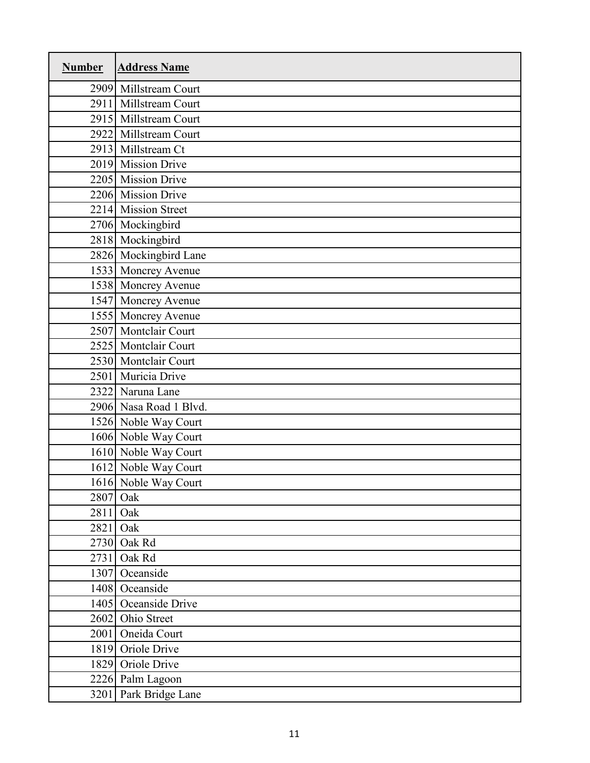| <b>Number</b> | <b>Address Name</b>    |
|---------------|------------------------|
|               | 2909 Millstream Court  |
|               | 2911 Millstream Court  |
|               | 2915 Millstream Court  |
|               | 2922 Millstream Court  |
|               | 2913 Millstream Ct     |
|               | 2019 Mission Drive     |
|               | 2205 Mission Drive     |
|               | 2206 Mission Drive     |
|               | 2214 Mission Street    |
|               | 2706 Mockingbird       |
|               | 2818 Mockingbird       |
|               | 2826 Mockingbird Lane  |
|               | 1533 Moncrey Avenue    |
|               | 1538 Moncrey Avenue    |
|               | 1547 Moncrey Avenue    |
|               | 1555 Moncrey Avenue    |
|               | 2507 Montclair Court   |
|               | 2525 Montclair Court   |
|               | 2530 Montclair Court   |
|               | 2501 Muricia Drive     |
|               | 2322 Naruna Lane       |
|               | 2906 Nasa Road 1 Blvd. |
|               | 1526 Noble Way Court   |
|               | 1606 Noble Way Court   |
|               | 1610 Noble Way Court   |
|               | 1612 Noble Way Court   |
|               | 1616 Noble Way Court   |
|               | 2807 Oak               |
| 2811          | Oak                    |
| 2821          | Oak                    |
|               | 2730 Oak Rd            |
| 2731          | Oak Rd                 |
|               | 1307 Oceanside         |
|               | 1408 Oceanside         |
|               | 1405 Oceanside Drive   |
|               | 2602 Ohio Street       |
|               | 2001 Oneida Court      |
|               | 1819 Oriole Drive      |
|               | 1829 Oriole Drive      |
|               | 2226 Palm Lagoon       |
|               | 3201 Park Bridge Lane  |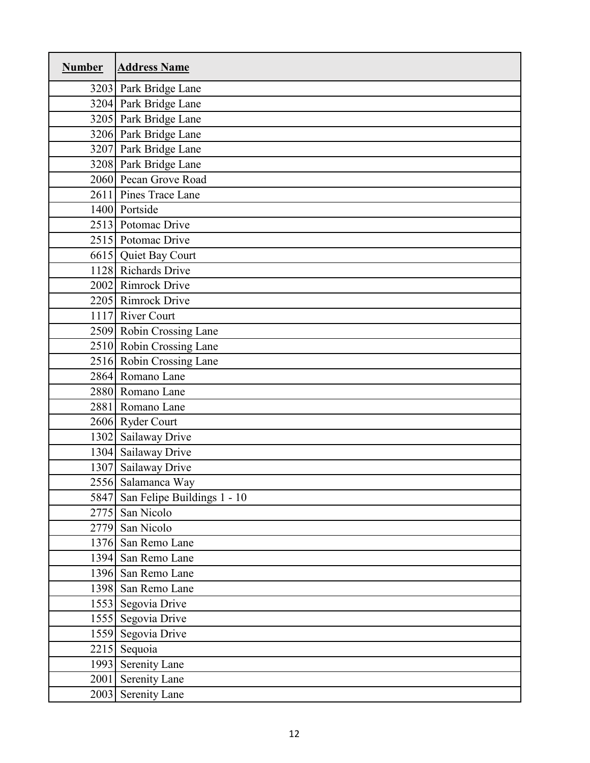| <b>Number</b> | <b>Address Name</b>              |
|---------------|----------------------------------|
|               | 3203 Park Bridge Lane            |
|               | 3204 Park Bridge Lane            |
|               | 3205 Park Bridge Lane            |
|               | 3206 Park Bridge Lane            |
|               | 3207 Park Bridge Lane            |
|               | 3208 Park Bridge Lane            |
|               | 2060 Pecan Grove Road            |
|               | 2611 Pines Trace Lane            |
|               | 1400 Portside                    |
|               | 2513 Potomac Drive               |
|               | 2515 Potomac Drive               |
|               | 6615 Quiet Bay Court             |
|               | 1128 Richards Drive              |
|               | 2002 Rimrock Drive               |
|               | 2205 Rimrock Drive               |
|               | 1117 River Court                 |
|               | 2509 Robin Crossing Lane         |
|               | 2510 Robin Crossing Lane         |
|               | 2516 Robin Crossing Lane         |
|               | 2864 Romano Lane                 |
|               | 2880 Romano Lane                 |
|               | 2881 Romano Lane                 |
|               | 2606 Ryder Court                 |
|               | 1302 Sailaway Drive              |
|               | 1304 Sailaway Drive              |
|               | 1307 Sailaway Drive              |
|               | 2556 Salamanca Way               |
|               | 5847 San Felipe Buildings 1 - 10 |
|               | 2775 San Nicolo                  |
|               | 2779 San Nicolo                  |
|               | 1376 San Remo Lane               |
|               | 1394 San Remo Lane               |
|               | 1396 San Remo Lane               |
|               | 1398 San Remo Lane               |
|               | 1553 Segovia Drive               |
|               | 1555 Segovia Drive               |
|               | 1559 Segovia Drive               |
|               | 2215 Sequoia                     |
|               | 1993 Serenity Lane               |
| 2001          | <b>Serenity Lane</b>             |
|               | 2003 Serenity Lane               |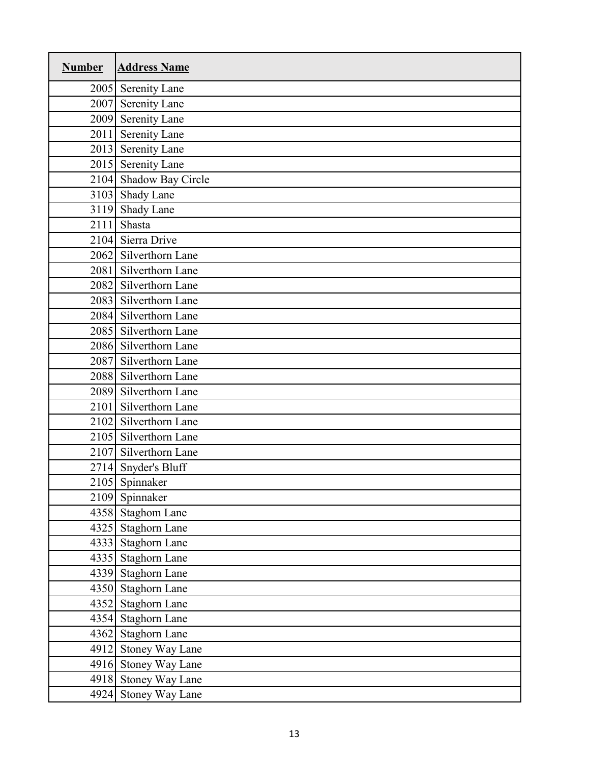| <b>Number</b> | <b>Address Name</b>    |
|---------------|------------------------|
|               | 2005 Serenity Lane     |
|               | 2007 Serenity Lane     |
| 2009          | <b>Serenity Lane</b>   |
| 2011          | <b>Serenity Lane</b>   |
|               | 2013 Serenity Lane     |
|               | 2015 Serenity Lane     |
|               | 2104 Shadow Bay Circle |
|               | 3103 Shady Lane        |
|               | 3119 Shady Lane        |
| 2111          | Shasta                 |
|               | 2104 Sierra Drive      |
| 2062          | Silverthorn Lane       |
| 2081          | Silverthorn Lane       |
|               | 2082 Silverthorn Lane  |
|               | 2083 Silverthorn Lane  |
|               | 2084 Silverthorn Lane  |
|               | 2085 Silverthorn Lane  |
|               | 2086 Silverthorn Lane  |
| 2087          | Silverthorn Lane       |
|               | 2088 Silverthorn Lane  |
|               | 2089 Silverthorn Lane  |
|               | 2101 Silverthorn Lane  |
|               | 2102 Silverthorn Lane  |
|               | 2105 Silverthorn Lane  |
| 2107          | Silverthorn Lane       |
|               | 2714 Snyder's Bluff    |
|               | 2105 Spinnaker         |
|               | 2109 Spinnaker         |
|               | 4358 Staghom Lane      |
|               | 4325 Staghorn Lane     |
|               | 4333 Staghorn Lane     |
|               | 4335 Staghorn Lane     |
|               | 4339 Staghorn Lane     |
|               | 4350 Staghorn Lane     |
|               | 4352 Staghorn Lane     |
|               | 4354 Staghorn Lane     |
|               | 4362 Staghorn Lane     |
|               | 4912 Stoney Way Lane   |
|               | 4916 Stoney Way Lane   |
|               | 4918 Stoney Way Lane   |
|               | 4924 Stoney Way Lane   |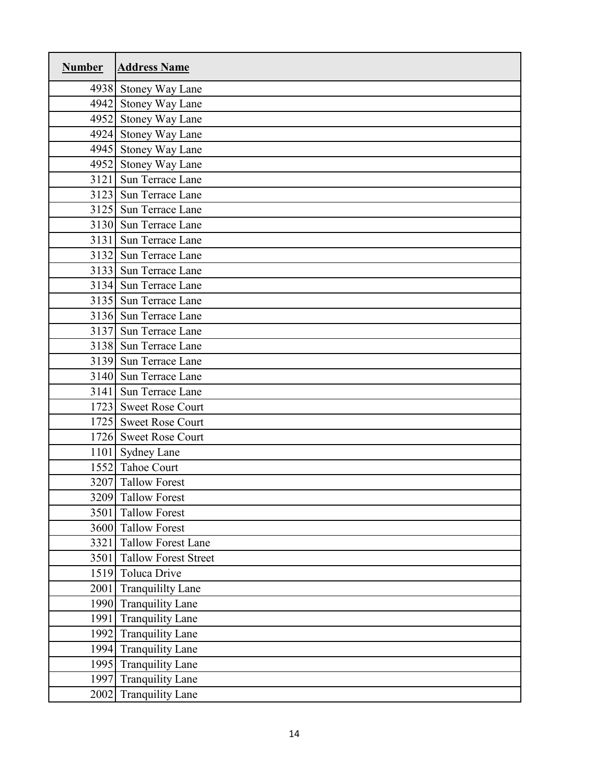| <b>Number</b> | <b>Address Name</b>         |
|---------------|-----------------------------|
|               | 4938 Stoney Way Lane        |
|               | 4942 Stoney Way Lane        |
|               | 4952 Stoney Way Lane        |
|               | 4924 Stoney Way Lane        |
|               | 4945 Stoney Way Lane        |
|               | 4952 Stoney Way Lane        |
|               | 3121 Sun Terrace Lane       |
|               | 3123 Sun Terrace Lane       |
|               | 3125 Sun Terrace Lane       |
|               | 3130 Sun Terrace Lane       |
|               | 3131 Sun Terrace Lane       |
|               | 3132 Sun Terrace Lane       |
|               | 3133 Sun Terrace Lane       |
|               | 3134 Sun Terrace Lane       |
|               | 3135 Sun Terrace Lane       |
|               | 3136 Sun Terrace Lane       |
|               | 3137 Sun Terrace Lane       |
|               | 3138 Sun Terrace Lane       |
|               | 3139 Sun Terrace Lane       |
|               | 3140 Sun Terrace Lane       |
|               | 3141 Sun Terrace Lane       |
|               | 1723 Sweet Rose Court       |
|               | 1725 Sweet Rose Court       |
|               | 1726 Sweet Rose Court       |
|               | 1101 Sydney Lane            |
|               | 1552 Tahoe Court            |
|               | 3207 Tallow Forest          |
|               | 3209 Tallow Forest          |
| 3501          | <b>Tallow Forest</b>        |
|               | 3600 Tallow Forest          |
| 3321          | <b>Tallow Forest Lane</b>   |
| 3501          | <b>Tallow Forest Street</b> |
| 1519          | <b>Toluca Drive</b>         |
| 2001          | <b>Tranquililty Lane</b>    |
| 1990          | <b>Tranquility Lane</b>     |
| 1991          | <b>Tranquility Lane</b>     |
|               | 1992 Tranquility Lane       |
| 1994          | <b>Tranquility Lane</b>     |
|               | 1995 Tranquility Lane       |
| 1997          | <b>Tranquility Lane</b>     |
| 2002          | <b>Tranquility Lane</b>     |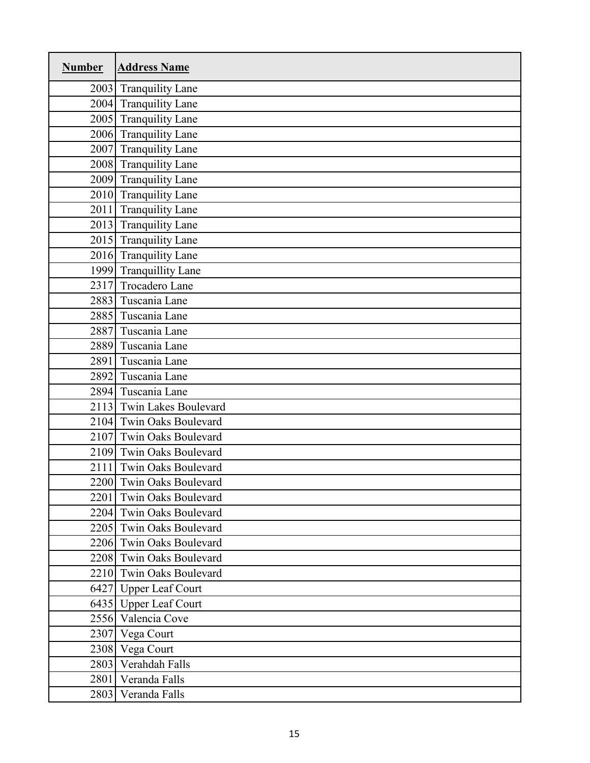| <b>Number</b> | <b>Address Name</b>        |
|---------------|----------------------------|
|               | 2003 Tranquility Lane      |
|               | 2004 Tranquility Lane      |
|               | 2005 Tranquility Lane      |
|               | 2006 Tranquility Lane      |
| 2007          | <b>Tranquility Lane</b>    |
|               | 2008 Tranquility Lane      |
|               | 2009 Tranquility Lane      |
| 2010          | <b>Tranquility Lane</b>    |
| 2011          | <b>Tranquility Lane</b>    |
| 2013          | <b>Tranquility Lane</b>    |
|               | 2015 Tranquility Lane      |
|               | 2016 Tranquility Lane      |
| 1999          | <b>Tranquillity Lane</b>   |
| 2317          | <b>Trocadero Lane</b>      |
| 2883          | Tuscania Lane              |
| 2885          | Tuscania Lane              |
| 2887          | Tuscania Lane              |
| 2889          | Tuscania Lane              |
| 2891          | Tuscania Lane              |
| 2892          | Tuscania Lane              |
| 2894          | Tuscania Lane              |
| 2113          | Twin Lakes Boulevard       |
| 2104          | Twin Oaks Boulevard        |
| 2107          | Twin Oaks Boulevard        |
| 2109          | Twin Oaks Boulevard        |
| 2111          | Twin Oaks Boulevard        |
|               | 2200 Twin Oaks Boulevard   |
| 2201          | <b>Twin Oaks Boulevard</b> |
|               | 2204 Twin Oaks Boulevard   |
|               | 2205 Twin Oaks Boulevard   |
|               | 2206 Twin Oaks Boulevard   |
|               | 2208 Twin Oaks Boulevard   |
|               | 2210 Twin Oaks Boulevard   |
|               | 6427 Upper Leaf Court      |
|               | 6435 Upper Leaf Court      |
|               | 2556 Valencia Cove         |
|               | 2307 Vega Court            |
|               | 2308 Vega Court            |
|               | 2803 Verahdah Falls        |
| 2801          | Veranda Falls              |
|               | 2803 Veranda Falls         |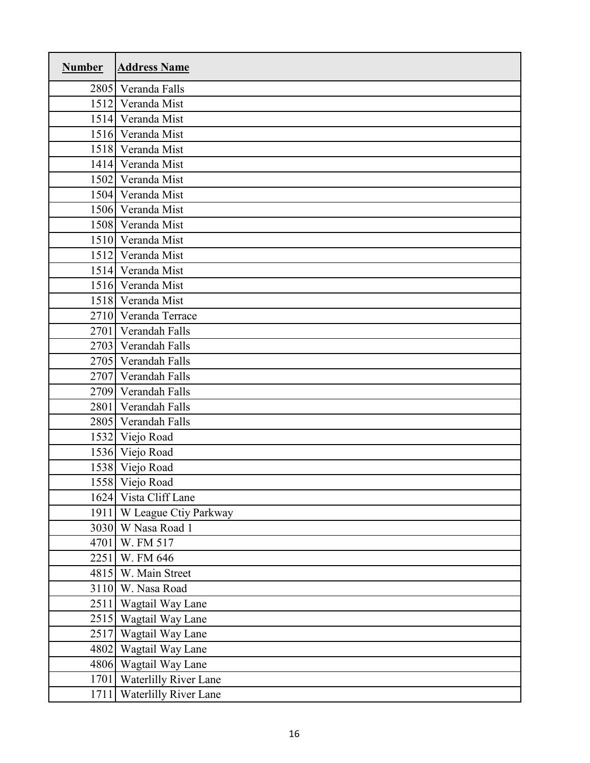| <b>Number</b> | <b>Address Name</b>          |
|---------------|------------------------------|
| 2805          | Veranda Falls                |
|               | 1512 Veranda Mist            |
| 1514          | Veranda Mist                 |
| 1516          | Veranda Mist                 |
|               | 1518 Veranda Mist            |
| 1414          | Veranda Mist                 |
| 1502          | Veranda Mist                 |
|               | 1504 Veranda Mist            |
|               | 1506 Veranda Mist            |
| 1508          | Veranda Mist                 |
|               | 1510 Veranda Mist            |
| 1512          | Veranda Mist                 |
| 1514          | Veranda Mist                 |
| 1516          | Veranda Mist                 |
|               | 1518 Veranda Mist            |
| 2710          | Veranda Terrace              |
| 2701          | Verandah Falls               |
|               | 2703 Verandah Falls          |
|               | 2705 Verandah Falls          |
| 2707          | Verandah Falls               |
| 2709          | Verandah Falls               |
| 2801          | Verandah Falls               |
| 2805          | Verandah Falls               |
| 1532          | Viejo Road                   |
|               | 1536 Viejo Road              |
|               | 1538 Viejo Road              |
|               | 1558 Viejo Road              |
|               | 1624 Vista Cliff Lane        |
| 1911          | W League Ctiy Parkway        |
| 3030          | W Nasa Road 1                |
| 4701          | W. FM 517                    |
| 2251          | W. FM 646                    |
|               | 4815 W. Main Street          |
|               | 3110 W. Nasa Road            |
| 2511          | Wagtail Way Lane             |
|               | 2515 Wagtail Way Lane        |
|               | 2517 Wagtail Way Lane        |
|               | 4802 Wagtail Way Lane        |
|               | 4806 Wagtail Way Lane        |
| 1701          | <b>Waterlilly River Lane</b> |
| 1711          | <b>Waterlilly River Lane</b> |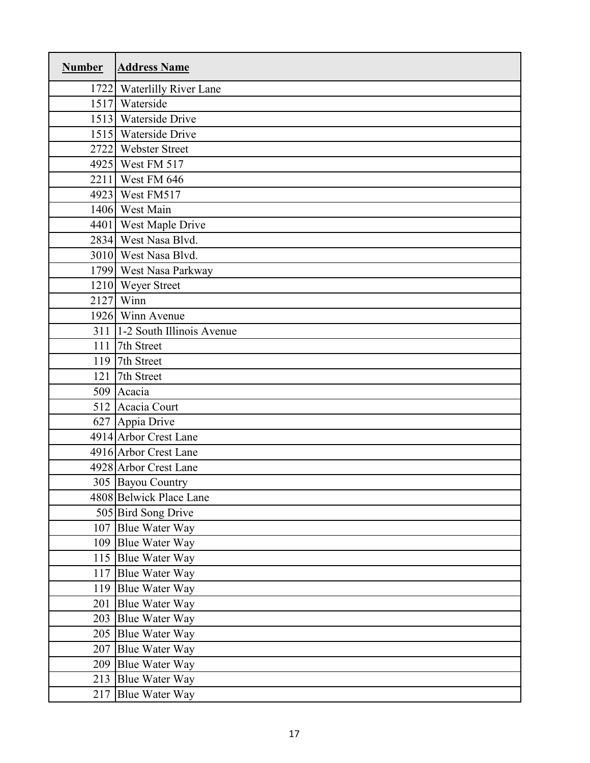| <b>Number</b> | <b>Address Name</b>        |
|---------------|----------------------------|
|               | 1722 Waterlilly River Lane |
|               | 1517 Waterside             |
|               | 1513 Waterside Drive       |
|               | 1515 Waterside Drive       |
|               | 2722 Webster Street        |
|               | 4925 West FM 517           |
|               | 2211 West FM 646           |
|               | 4923 West FM517            |
|               | 1406 West Main             |
|               | 4401 West Maple Drive      |
|               | 2834 West Nasa Blvd.       |
|               | 3010 West Nasa Blvd.       |
|               | 1799 West Nasa Parkway     |
|               | 1210 Weyer Street          |
|               | $2127$ Winn                |
|               | 1926 Winn Avenue           |
| 311           | 1-2 South Illinois Avenue  |
| 111           | 7th Street                 |
| 119           | 7th Street                 |
| 121           | 7th Street                 |
|               | 509 Acacia                 |
|               | 512 Acacia Court           |
|               | 627 Appia Drive            |
|               | 4914 Arbor Crest Lane      |
|               | 4916 Arbor Crest Lane      |
|               | 4928 Arbor Crest Lane      |
|               | 305 Bayou Country          |
|               | 4808 Belwick Place Lane    |
|               | 505 Bird Song Drive        |
|               | 107 Blue Water Way         |
|               | 109 Blue Water Way         |
|               | 115 Blue Water Way         |
|               | 117 Blue Water Way         |
|               | 119 Blue Water Way         |
| 201           | <b>Blue Water Way</b>      |
|               | 203 Blue Water Way         |
|               | 205 Blue Water Way         |
| 207           | <b>Blue Water Way</b>      |
|               | 209 Blue Water Way         |
|               | 213 Blue Water Way         |
| 217           | <b>Blue Water Way</b>      |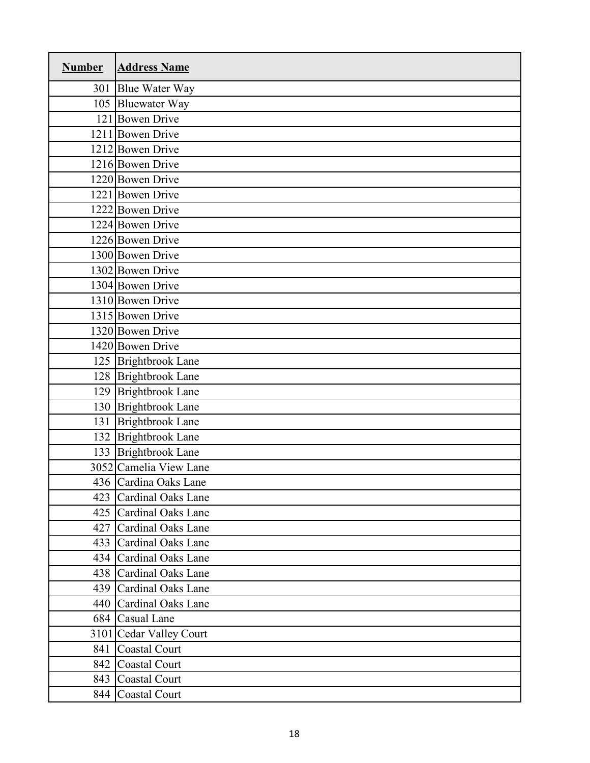| <b>Number</b> | <b>Address Name</b>       |
|---------------|---------------------------|
|               | 301 Blue Water Way        |
|               | 105 Bluewater Way         |
|               | 121 Bowen Drive           |
|               | 1211 Bowen Drive          |
|               | 1212 Bowen Drive          |
|               | 1216 Bowen Drive          |
|               | 1220 Bowen Drive          |
|               | 1221 Bowen Drive          |
|               | 1222 Bowen Drive          |
|               | 1224 Bowen Drive          |
|               | 1226 Bowen Drive          |
|               | 1300 Bowen Drive          |
|               | 1302 Bowen Drive          |
|               | 1304 Bowen Drive          |
|               | 1310 Bowen Drive          |
|               | 1315 Bowen Drive          |
|               | 1320 Bowen Drive          |
|               | 1420 Bowen Drive          |
|               | 125 Brightbrook Lane      |
|               | 128 Brightbrook Lane      |
|               | 129 Brightbrook Lane      |
|               | 130 Brightbrook Lane      |
| 131           | <b>Brightbrook Lane</b>   |
|               | 132 Brightbrook Lane      |
|               | 133 Brightbrook Lane      |
|               | 3052 Camelia View Lane    |
|               | 436 Cardina Oaks Lane     |
| 423           | Cardinal Oaks Lane        |
|               | 425 Cardinal Oaks Lane    |
| 427           | Cardinal Oaks Lane        |
|               | 433 Cardinal Oaks Lane    |
| 434           | <b>Cardinal Oaks Lane</b> |
|               | 438 Cardinal Oaks Lane    |
|               | 439 Cardinal Oaks Lane    |
|               | 440 Cardinal Oaks Lane    |
|               | 684 Casual Lane           |
|               | 3101 Cedar Valley Court   |
| 841           | Coastal Court             |
| 842           | Coastal Court             |
|               | 843 Coastal Court         |
|               | 844 Coastal Court         |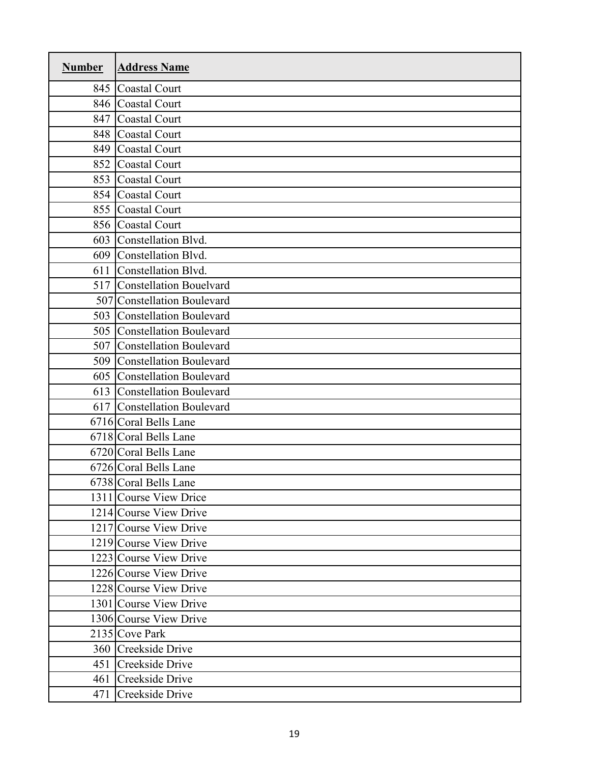| <b>Number</b> | <b>Address Name</b>            |
|---------------|--------------------------------|
| 845           | <b>Coastal Court</b>           |
| 846           | <b>Coastal Court</b>           |
| 847           | <b>Coastal Court</b>           |
| 848           | <b>Coastal Court</b>           |
| 849           | <b>Coastal Court</b>           |
| 852           | <b>Coastal Court</b>           |
| 853           | <b>Coastal Court</b>           |
| 854           | <b>Coastal Court</b>           |
| 855           | <b>Coastal Court</b>           |
| 856           | <b>Coastal Court</b>           |
| 603           | Constellation Blvd.            |
| 609           | Constellation Blvd.            |
| 611           | Constellation Blvd.            |
| 517           | <b>Constellation Bouelvard</b> |
|               | 507 Constellation Boulevard    |
| 503           | <b>Constellation Boulevard</b> |
| 505           | <b>Constellation Boulevard</b> |
| 507           | <b>Constellation Boulevard</b> |
| 509           | <b>Constellation Boulevard</b> |
| 605           | <b>Constellation Boulevard</b> |
| 613           | <b>Constellation Boulevard</b> |
| 617           | <b>Constellation Boulevard</b> |
|               | 6716 Coral Bells Lane          |
|               | 6718 Coral Bells Lane          |
|               | 6720 Coral Bells Lane          |
|               | 6726 Coral Bells Lane          |
|               | 6738 Coral Bells Lane          |
|               | 1311 Course View Drice         |
|               | 1214 Course View Drive         |
|               | 1217 Course View Drive         |
|               | 1219 Course View Drive         |
|               | 1223 Course View Drive         |
|               | 1226 Course View Drive         |
|               | 1228 Course View Drive         |
|               | 1301 Course View Drive         |
|               | 1306 Course View Drive         |
|               | 2135 Cove Park                 |
|               | 360 Creekside Drive            |
| 451           | Creekside Drive                |
| 461           | Creekside Drive                |
| 471           | Creekside Drive                |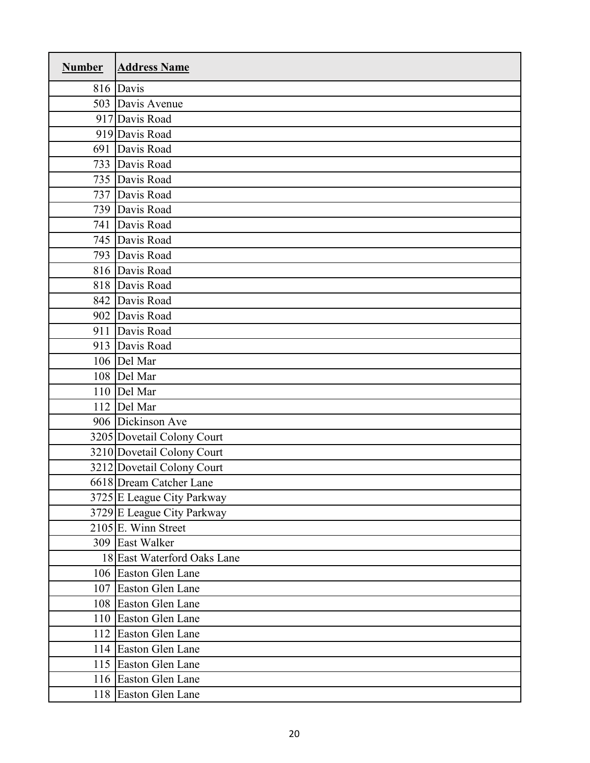| <b>Number</b> | <b>Address Name</b>         |
|---------------|-----------------------------|
|               | 816 Davis                   |
|               | 503 Davis Avenue            |
|               | 917 Davis Road              |
|               | 919 Davis Road              |
|               | 691 Davis Road              |
|               | 733 Davis Road              |
|               | 735 Davis Road              |
|               | 737 Davis Road              |
|               | 739 Davis Road              |
|               | 741 Davis Road              |
|               | 745 Davis Road              |
|               | 793 Davis Road              |
|               | 816 Davis Road              |
|               | 818 Davis Road              |
|               | 842 Davis Road              |
|               | 902 Davis Road              |
| 911           | Davis Road                  |
|               | 913 Davis Road              |
|               | 106 Del Mar                 |
|               | 108 Del Mar                 |
|               | 110 Del Mar                 |
|               | 112 Del Mar                 |
|               | 906 Dickinson Ave           |
|               | 3205 Dovetail Colony Court  |
|               | 3210 Dovetail Colony Court  |
|               | 3212 Dovetail Colony Court  |
|               | 6618 Dream Catcher Lane     |
|               | 3725 E League City Parkway  |
|               | 3729 E League City Parkway  |
|               | $2105$ E. Winn Street       |
|               | 309 East Walker             |
|               | 18 East Waterford Oaks Lane |
|               | 106 Easton Glen Lane        |
|               | 107 Easton Glen Lane        |
|               | 108 Easton Glen Lane        |
|               | 110 Easton Glen Lane        |
|               | 112 Easton Glen Lane        |
|               | 114 Easton Glen Lane        |
|               | 115 Easton Glen Lane        |
|               | 116 Easton Glen Lane        |
|               | 118 Easton Glen Lane        |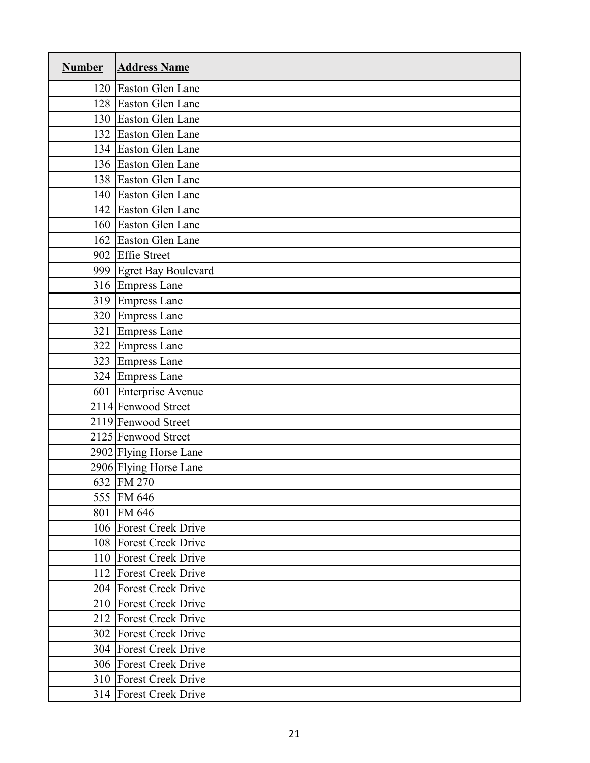| <b>Number</b> | <b>Address Name</b>     |
|---------------|-------------------------|
|               | 120 Easton Glen Lane    |
|               | 128 Easton Glen Lane    |
|               | 130 Easton Glen Lane    |
|               | 132 Easton Glen Lane    |
|               | 134 Easton Glen Lane    |
|               | 136 Easton Glen Lane    |
|               | 138 Easton Glen Lane    |
|               | 140 Easton Glen Lane    |
|               | 142 Easton Glen Lane    |
|               | 160 Easton Glen Lane    |
|               | 162 Easton Glen Lane    |
|               | 902 Effie Street        |
|               | 999 Egret Bay Boulevard |
|               | 316 Empress Lane        |
|               | 319 Empress Lane        |
|               | 320 Empress Lane        |
| 321           | <b>Empress Lane</b>     |
|               | 322 Empress Lane        |
|               | 323 Empress Lane        |
|               | 324 Empress Lane        |
|               | 601 Enterprise Avenue   |
|               | 2114 Fenwood Street     |
|               | 2119 Fenwood Street     |
|               | 2125 Fenwood Street     |
|               | 2902 Flying Horse Lane  |
|               | 2906 Flying Horse Lane  |
|               | 632 FM 270              |
|               | 555 FM 646              |
| 801           | FM 646                  |
|               | 106 Forest Creek Drive  |
|               | 108 Forest Creek Drive  |
|               | 110 Forest Creek Drive  |
|               | 112 Forest Creek Drive  |
|               | 204 Forest Creek Drive  |
|               | 210 Forest Creek Drive  |
|               | 212 Forest Creek Drive  |
|               | 302 Forest Creek Drive  |
|               | 304 Forest Creek Drive  |
|               | 306 Forest Creek Drive  |
|               | 310 Forest Creek Drive  |
|               | 314 Forest Creek Drive  |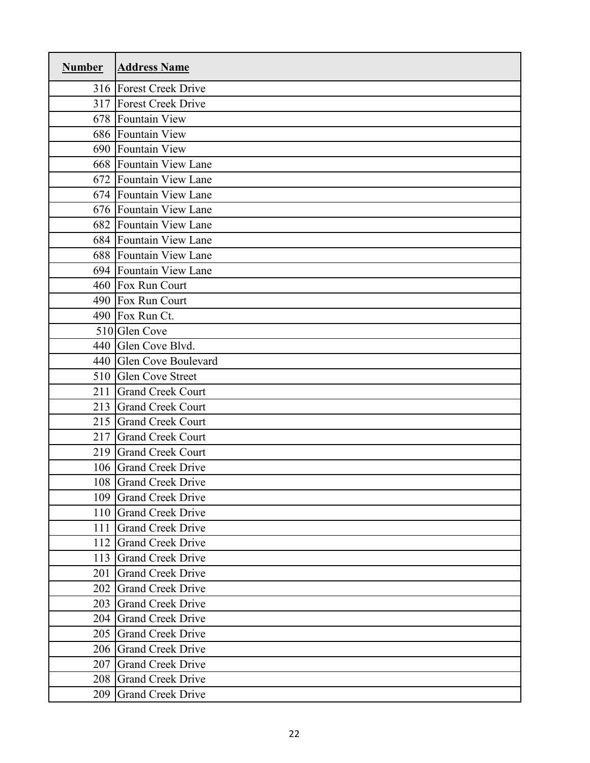| <b>Number</b> | <b>Address Name</b>      |
|---------------|--------------------------|
|               | 316 Forest Creek Drive   |
|               | 317 Forest Creek Drive   |
|               | 678 Fountain View        |
|               | 686 Fountain View        |
|               | 690 Fountain View        |
|               | 668 Fountain View Lane   |
|               | 672 Fountain View Lane   |
|               | 674 Fountain View Lane   |
|               | 676 Fountain View Lane   |
|               | 682 Fountain View Lane   |
|               | 684 Fountain View Lane   |
|               | 688 Fountain View Lane   |
|               | 694 Fountain View Lane   |
|               | 460 Fox Run Court        |
|               | 490 Fox Run Court        |
|               | 490 Fox Run Ct.          |
|               | 510 Glen Cove            |
|               | 440 Glen Cove Blvd.      |
|               | 440 Glen Cove Boulevard  |
| 510           | <b>Glen Cove Street</b>  |
| 211           | <b>Grand Creek Court</b> |
| 213           | <b>Grand Creek Court</b> |
| 215           | <b>Grand Creek Court</b> |
| 217           | <b>Grand Creek Court</b> |
| 219           | <b>Grand Creek Court</b> |
|               | 106 Grand Creek Drive    |
|               | 108 Grand Creek Drive    |
|               | 109 Grand Creek Drive    |
| 110           | <b>Grand Creek Drive</b> |
| 111           | <b>Grand Creek Drive</b> |
| 112           | <b>Grand Creek Drive</b> |
| 113           | <b>Grand Creek Drive</b> |
| 201           | <b>Grand Creek Drive</b> |
| 202           | <b>Grand Creek Drive</b> |
| 203           | <b>Grand Creek Drive</b> |
| 204           | <b>Grand Creek Drive</b> |
| 205           | <b>Grand Creek Drive</b> |
| 206           | <b>Grand Creek Drive</b> |
| 207           | <b>Grand Creek Drive</b> |
| 208           | <b>Grand Creek Drive</b> |
| 209           | <b>Grand Creek Drive</b> |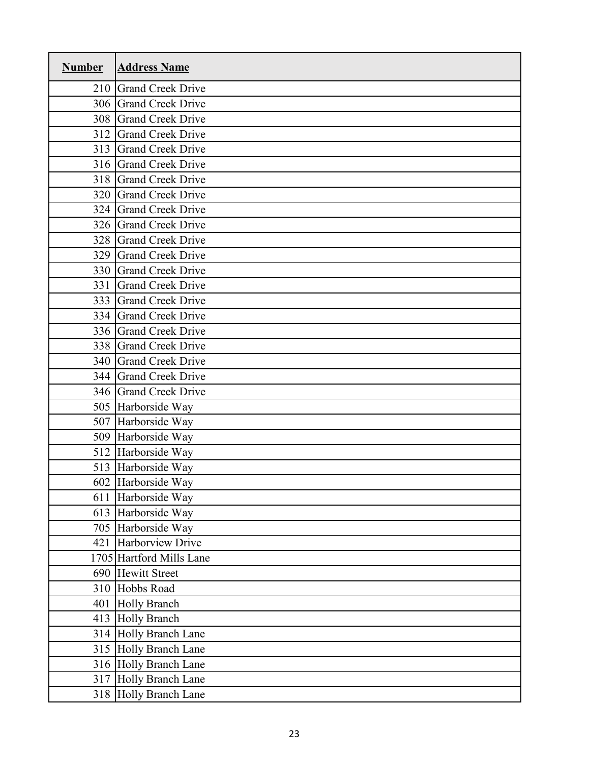| <b>Number</b> | <b>Address Name</b>      |
|---------------|--------------------------|
|               | 210 Grand Creek Drive    |
|               | 306 Grand Creek Drive    |
|               | 308 Grand Creek Drive    |
| 312           | <b>Grand Creek Drive</b> |
|               | 313 Grand Creek Drive    |
|               | 316 Grand Creek Drive    |
| 318           | <b>Grand Creek Drive</b> |
|               | 320 Grand Creek Drive    |
|               | 324 Grand Creek Drive    |
|               | 326 Grand Creek Drive    |
|               | 328 Grand Creek Drive    |
|               | 329 Grand Creek Drive    |
|               | 330 Grand Creek Drive    |
| 331           | <b>Grand Creek Drive</b> |
|               | 333 Grand Creek Drive    |
|               | 334 Grand Creek Drive    |
|               | 336 Grand Creek Drive    |
|               | 338 Grand Creek Drive    |
|               | 340 Grand Creek Drive    |
| 344           | <b>Grand Creek Drive</b> |
|               | 346 Grand Creek Drive    |
|               | 505 Harborside Way       |
|               | 507 Harborside Way       |
|               | 509 Harborside Way       |
|               | 512 Harborside Way       |
|               | 513 Harborside Way       |
|               | 602 Harborside Way       |
|               | 611 Harborside Way       |
|               | 613 Harborside Way       |
|               | 705 Harborside Way       |
|               | 421 Harborview Drive     |
|               | 1705 Hartford Mills Lane |
|               | 690 Hewitt Street        |
|               | 310 Hobbs Road           |
| 401           | <b>Holly Branch</b>      |
|               | 413 Holly Branch         |
|               | 314 Holly Branch Lane    |
|               | 315 Holly Branch Lane    |
|               | 316 Holly Branch Lane    |
|               | 317 Holly Branch Lane    |
|               | 318 Holly Branch Lane    |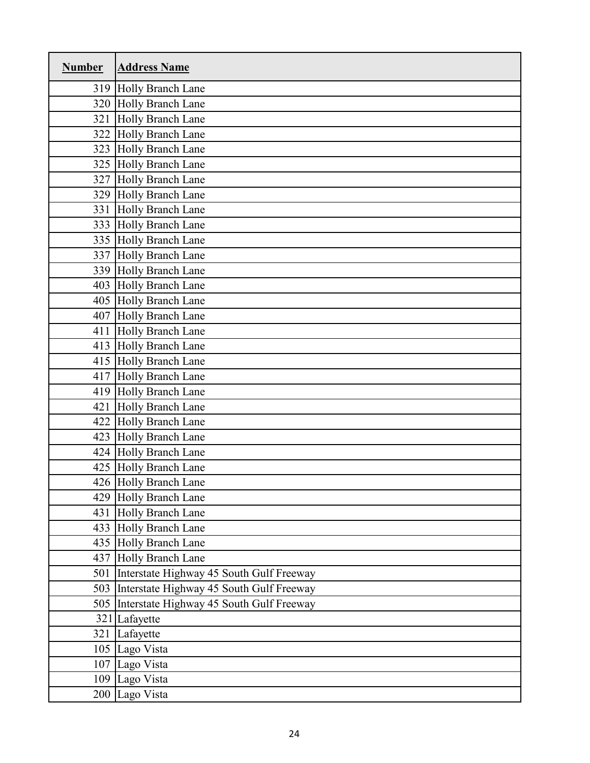| <b>Number</b> | <b>Address Name</b>                      |
|---------------|------------------------------------------|
|               | 319 Holly Branch Lane                    |
|               | 320 Holly Branch Lane                    |
| 321           | Holly Branch Lane                        |
|               | 322 Holly Branch Lane                    |
|               | 323 Holly Branch Lane                    |
|               | 325 Holly Branch Lane                    |
|               | 327 Holly Branch Lane                    |
|               | 329 Holly Branch Lane                    |
| 331           | Holly Branch Lane                        |
|               | 333 Holly Branch Lane                    |
|               | 335 Holly Branch Lane                    |
|               | 337 Holly Branch Lane                    |
|               | 339 Holly Branch Lane                    |
|               | 403 Holly Branch Lane                    |
|               | 405 Holly Branch Lane                    |
|               | 407 Holly Branch Lane                    |
| 411           | Holly Branch Lane                        |
|               | 413 Holly Branch Lane                    |
|               | 415 Holly Branch Lane                    |
| 417           | Holly Branch Lane                        |
|               | 419 Holly Branch Lane                    |
| 421           | <b>Holly Branch Lane</b>                 |
|               | 422 Holly Branch Lane                    |
|               | 423 Holly Branch Lane                    |
|               | 424 Holly Branch Lane                    |
|               | 425 Holly Branch Lane                    |
|               | 426 Holly Branch Lane                    |
|               | 429 Holly Branch Lane                    |
| 431           | <b>Holly Branch Lane</b>                 |
|               | 433 Holly Branch Lane                    |
|               | 435 Holly Branch Lane                    |
| 437           | <b>Holly Branch Lane</b>                 |
| 501           | Interstate Highway 45 South Gulf Freeway |
| 503           | Interstate Highway 45 South Gulf Freeway |
| 505           | Interstate Highway 45 South Gulf Freeway |
|               | 321 Lafayette                            |
| 321           | Lafayette                                |
| 105           | Lago Vista                               |
|               | 107 Lago Vista                           |
|               | 109 Lago Vista                           |
|               | 200 Lago Vista                           |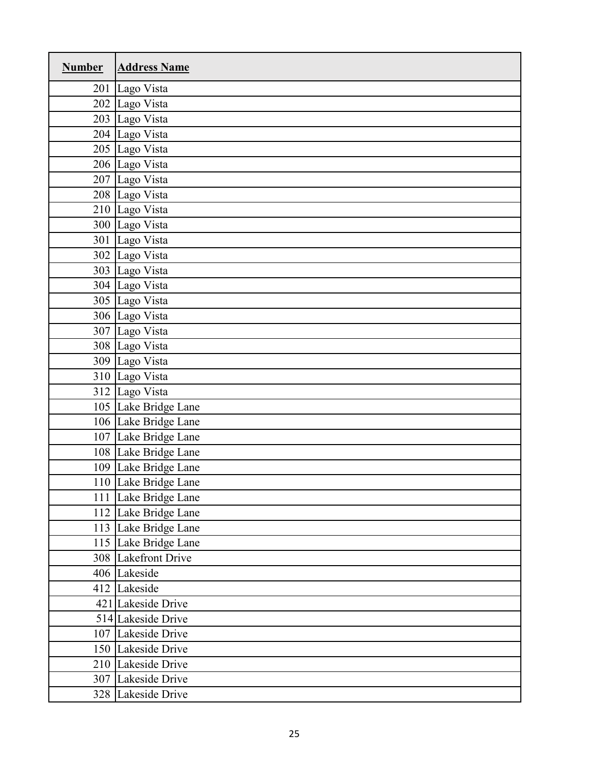| <b>Number</b> | <b>Address Name</b>  |
|---------------|----------------------|
| 201           | Lago Vista           |
|               | 202 Lago Vista       |
|               | 203 Lago Vista       |
|               | 204 Lago Vista       |
|               | 205 Lago Vista       |
|               | 206 Lago Vista       |
|               | 207 Lago Vista       |
|               | 208 Lago Vista       |
|               | 210 Lago Vista       |
|               | 300 Lago Vista       |
| 301           | Lago Vista           |
|               | 302 Lago Vista       |
|               | 303 Lago Vista       |
|               | 304 Lago Vista       |
|               | 305 Lago Vista       |
|               | 306 Lago Vista       |
|               | 307 Lago Vista       |
|               | 308 Lago Vista       |
|               | 309 Lago Vista       |
|               | 310 Lago Vista       |
|               | 312 Lago Vista       |
|               | 105 Lake Bridge Lane |
|               | 106 Lake Bridge Lane |
|               | 107 Lake Bridge Lane |
|               | 108 Lake Bridge Lane |
|               | 109 Lake Bridge Lane |
|               | 110 Lake Bridge Lane |
|               | 111 Lake Bridge Lane |
|               | 112 Lake Bridge Lane |
|               | 113 Lake Bridge Lane |
|               | 115 Lake Bridge Lane |
|               | 308 Lakefront Drive  |
|               | 406 Lakeside         |
|               | 412 Lakeside         |
|               | 421 Lakeside Drive   |
|               | 514 Lakeside Drive   |
|               | 107 Lakeside Drive   |
|               | 150 Lakeside Drive   |
|               | 210 Lakeside Drive   |
|               | 307 Lakeside Drive   |
|               | 328 Lakeside Drive   |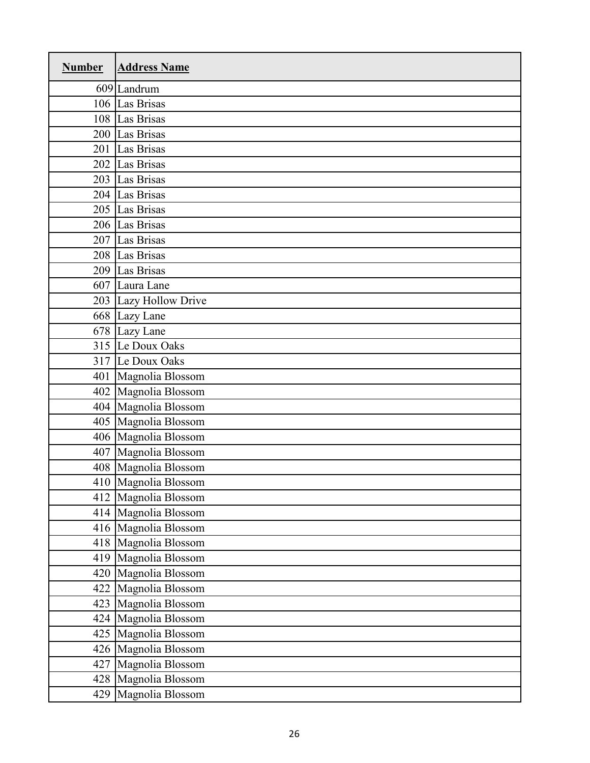| <b>Number</b> | <b>Address Name</b>   |
|---------------|-----------------------|
|               | 609 Landrum           |
|               | 106 Las Brisas        |
|               | 108 Las Brisas        |
|               | 200 Las Brisas        |
|               | 201 Las Brisas        |
|               | 202 Las Brisas        |
|               | 203 Las Brisas        |
|               | 204 Las Brisas        |
|               | 205 Las Brisas        |
|               | 206 Las Brisas        |
|               | 207 Las Brisas        |
|               | 208 Las Brisas        |
|               | 209 Las Brisas        |
|               | 607 Laura Lane        |
|               | 203 Lazy Hollow Drive |
|               | 668 Lazy Lane         |
|               | 678 Lazy Lane         |
|               | 315 Le Doux Oaks      |
|               | 317 Le Doux Oaks      |
| 401           | Magnolia Blossom      |
|               | 402 Magnolia Blossom  |
|               | 404 Magnolia Blossom  |
|               | 405 Magnolia Blossom  |
|               | 406 Magnolia Blossom  |
|               | 407 Magnolia Blossom  |
|               | 408 Magnolia Blossom  |
|               | 410 Magnolia Blossom  |
|               | 412 Magnolia Blossom  |
|               | 414 Magnolia Blossom  |
|               | 416 Magnolia Blossom  |
|               | 418 Magnolia Blossom  |
|               | 419 Magnolia Blossom  |
|               | 420 Magnolia Blossom  |
|               | 422 Magnolia Blossom  |
|               | 423 Magnolia Blossom  |
|               | 424 Magnolia Blossom  |
|               | 425 Magnolia Blossom  |
|               | 426 Magnolia Blossom  |
|               | 427 Magnolia Blossom  |
|               | 428 Magnolia Blossom  |
|               | 429 Magnolia Blossom  |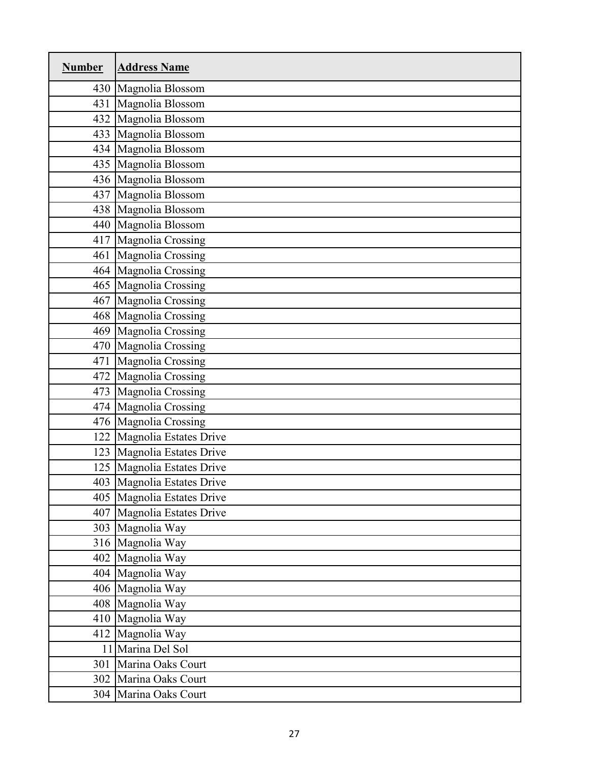| <b>Number</b> | <b>Address Name</b>          |
|---------------|------------------------------|
|               | 430 Magnolia Blossom         |
| 431           | Magnolia Blossom             |
|               | 432 Magnolia Blossom         |
|               | 433 Magnolia Blossom         |
|               | 434 Magnolia Blossom         |
|               | 435 Magnolia Blossom         |
|               | 436 Magnolia Blossom         |
|               | 437 Magnolia Blossom         |
|               | 438 Magnolia Blossom         |
|               | 440 Magnolia Blossom         |
|               | 417 Magnolia Crossing        |
| 461           | Magnolia Crossing            |
|               | 464 Magnolia Crossing        |
|               | 465 Magnolia Crossing        |
|               | 467 Magnolia Crossing        |
|               | 468 Magnolia Crossing        |
| 469           | Magnolia Crossing            |
|               | 470 Magnolia Crossing        |
| 471           | Magnolia Crossing            |
| 472           | Magnolia Crossing            |
|               | 473 Magnolia Crossing        |
|               | 474 Magnolia Crossing        |
|               | 476 Magnolia Crossing        |
|               | 122 Magnolia Estates Drive   |
|               | 123 Magnolia Estates Drive   |
|               | 125 Magnolia Estates Drive   |
|               | 403   Magnolia Estates Drive |
|               | 405 Magnolia Estates Drive   |
|               | 407 Magnolia Estates Drive   |
|               | 303 Magnolia Way             |
|               | 316 Magnolia Way             |
|               | 402 Magnolia Way             |
|               | 404 Magnolia Way             |
|               | 406 Magnolia Way             |
|               | 408 Magnolia Way             |
|               | 410 Magnolia Way             |
|               | 412 Magnolia Way             |
|               | 11 Marina Del Sol            |
| 301           | Marina Oaks Court            |
|               | 302 Marina Oaks Court        |
|               | 304 Marina Oaks Court        |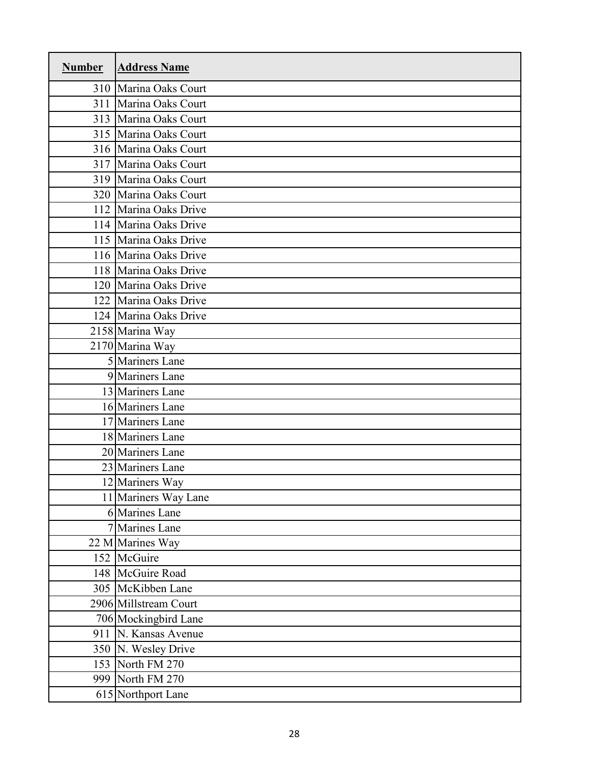| <b>Number</b> | <b>Address Name</b>   |
|---------------|-----------------------|
|               | 310 Marina Oaks Court |
| 311           | Marina Oaks Court     |
|               | 313 Marina Oaks Court |
|               | 315 Marina Oaks Court |
|               | 316 Marina Oaks Court |
|               | 317 Marina Oaks Court |
|               | 319 Marina Oaks Court |
|               | 320 Marina Oaks Court |
|               | 112 Marina Oaks Drive |
|               | 114 Marina Oaks Drive |
|               | 115 Marina Oaks Drive |
|               | 116 Marina Oaks Drive |
|               | 118 Marina Oaks Drive |
|               | 120 Marina Oaks Drive |
|               | 122 Marina Oaks Drive |
|               | 124 Marina Oaks Drive |
|               | 2158 Marina Way       |
|               | 2170 Marina Way       |
|               | 5 Mariners Lane       |
|               | 9 Mariners Lane       |
|               | 13 Mariners Lane      |
|               | 16 Mariners Lane      |
|               | 17 Mariners Lane      |
|               | 18 Mariners Lane      |
|               | 20 Mariners Lane      |
|               | 23 Mariners Lane      |
|               | 12 Mariners Way       |
|               | 11 Mariners Way Lane  |
|               | 6 Marines Lane        |
|               | 7 Marines Lane        |
|               | 22 M Marines Way      |
|               | 152 McGuire           |
|               | 148 McGuire Road      |
|               | 305 McKibben Lane     |
|               | 2906 Millstream Court |
|               | 706 Mockingbird Lane  |
|               | 911 N. Kansas Avenue  |
|               | 350 N. Wesley Drive   |
|               | 153 North FM 270      |
|               | 999 North FM 270      |
|               | 615 Northport Lane    |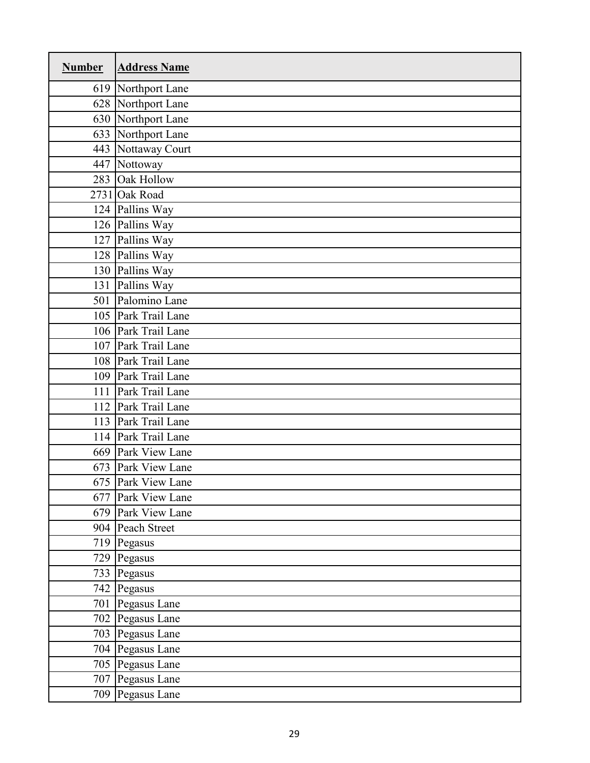| <b>Number</b> | <b>Address Name</b> |
|---------------|---------------------|
|               | 619 Northport Lane  |
|               | 628 Northport Lane  |
|               | 630 Northport Lane  |
|               | 633 Northport Lane  |
|               | 443 Nottaway Court  |
|               | 447 Nottoway        |
|               | 283 Oak Hollow      |
|               | 2731 Oak Road       |
|               | 124 Pallins Way     |
|               | 126 Pallins Way     |
|               | 127 Pallins Way     |
|               | 128 Pallins Way     |
|               | 130 Pallins Way     |
|               | 131 Pallins Way     |
|               | 501 Palomino Lane   |
|               | 105 Park Trail Lane |
|               | 106 Park Trail Lane |
|               | 107 Park Trail Lane |
|               | 108 Park Trail Lane |
|               | 109 Park Trail Lane |
|               | 111 Park Trail Lane |
|               | 112 Park Trail Lane |
|               | 113 Park Trail Lane |
|               | 114 Park Trail Lane |
|               | 669 Park View Lane  |
|               | 673 Park View Lane  |
|               | 675 Park View Lane  |
|               | 677 Park View Lane  |
|               | 679 Park View Lane  |
|               | 904 Peach Street    |
|               | 719 Pegasus         |
|               | 729 Pegasus         |
|               | 733 Pegasus         |
|               | 742 Pegasus         |
|               | 701 Pegasus Lane    |
|               | 702 Pegasus Lane    |
|               | 703 Pegasus Lane    |
|               | 704 Pegasus Lane    |
|               | 705 Pegasus Lane    |
|               | 707 Pegasus Lane    |
|               | 709 Pegasus Lane    |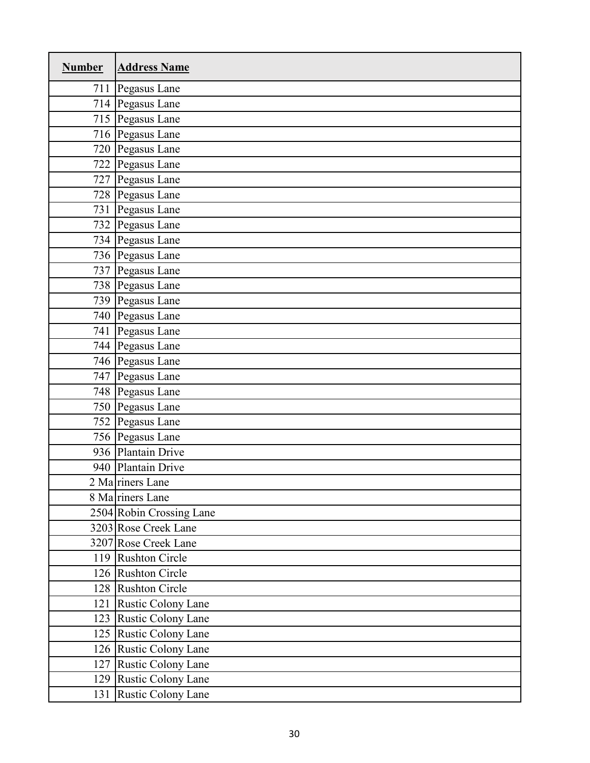| <b>Number</b> | <b>Address Name</b>      |
|---------------|--------------------------|
|               | 711 Pegasus Lane         |
|               | 714 Pegasus Lane         |
|               | 715 Pegasus Lane         |
|               | 716 Pegasus Lane         |
|               | 720 Pegasus Lane         |
|               | 722 Pegasus Lane         |
|               | 727 Pegasus Lane         |
|               | 728 Pegasus Lane         |
|               | 731 Pegasus Lane         |
|               | 732 Pegasus Lane         |
|               | 734 Pegasus Lane         |
|               | 736 Pegasus Lane         |
|               | 737 Pegasus Lane         |
|               | 738 Pegasus Lane         |
|               | 739 Pegasus Lane         |
|               | 740 Pegasus Lane         |
|               | 741 Pegasus Lane         |
|               | 744 Pegasus Lane         |
|               | 746 Pegasus Lane         |
|               | 747 Pegasus Lane         |
|               | 748 Pegasus Lane         |
|               | 750 Pegasus Lane         |
|               | 752 Pegasus Lane         |
|               | 756 Pegasus Lane         |
|               | 936 Plantain Drive       |
|               | 940 Plantain Drive       |
|               | 2 Ma riners Lane         |
|               | 8 Ma riners Lane         |
|               | 2504 Robin Crossing Lane |
|               | 3203 Rose Creek Lane     |
|               | 3207 Rose Creek Lane     |
|               | 119 Rushton Circle       |
|               | 126 Rushton Circle       |
|               | 128 Rushton Circle       |
|               | 121 Rustic Colony Lane   |
|               | 123 Rustic Colony Lane   |
|               | 125 Rustic Colony Lane   |
|               | 126 Rustic Colony Lane   |
|               | 127 Rustic Colony Lane   |
|               | 129 Rustic Colony Lane   |
| 131           | Rustic Colony Lane       |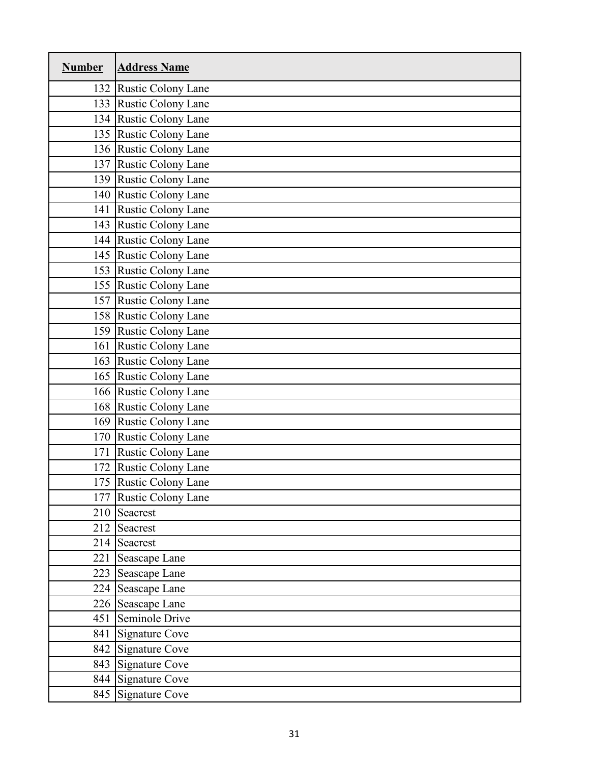| <b>Number</b> | <b>Address Name</b>    |
|---------------|------------------------|
|               | 132 Rustic Colony Lane |
|               | 133 Rustic Colony Lane |
|               | 134 Rustic Colony Lane |
|               | 135 Rustic Colony Lane |
|               | 136 Rustic Colony Lane |
|               | 137 Rustic Colony Lane |
|               | 139 Rustic Colony Lane |
|               | 140 Rustic Colony Lane |
| 141           | Rustic Colony Lane     |
|               | 143 Rustic Colony Lane |
|               | 144 Rustic Colony Lane |
|               | 145 Rustic Colony Lane |
|               | 153 Rustic Colony Lane |
|               | 155 Rustic Colony Lane |
|               | 157 Rustic Colony Lane |
|               | 158 Rustic Colony Lane |
|               | 159 Rustic Colony Lane |
|               | 161 Rustic Colony Lane |
|               | 163 Rustic Colony Lane |
|               | 165 Rustic Colony Lane |
|               | 166 Rustic Colony Lane |
|               | 168 Rustic Colony Lane |
|               | 169 Rustic Colony Lane |
|               | 170 Rustic Colony Lane |
|               | 171 Rustic Colony Lane |
|               | 172 Rustic Colony Lane |
|               | 175 Rustic Colony Lane |
|               | 177 Rustic Colony Lane |
| 210           | Seacrest               |
|               | 212 Seacrest           |
|               | 214 Seacrest           |
| 221           | Seascape Lane          |
|               | 223 Seascape Lane      |
|               | 224 Seascape Lane      |
|               | 226 Seascape Lane      |
| 451           | Seminole Drive         |
| 841           | <b>Signature Cove</b>  |
|               | 842 Signature Cove     |
|               | 843 Signature Cove     |
|               | 844 Signature Cove     |
|               | 845 Signature Cove     |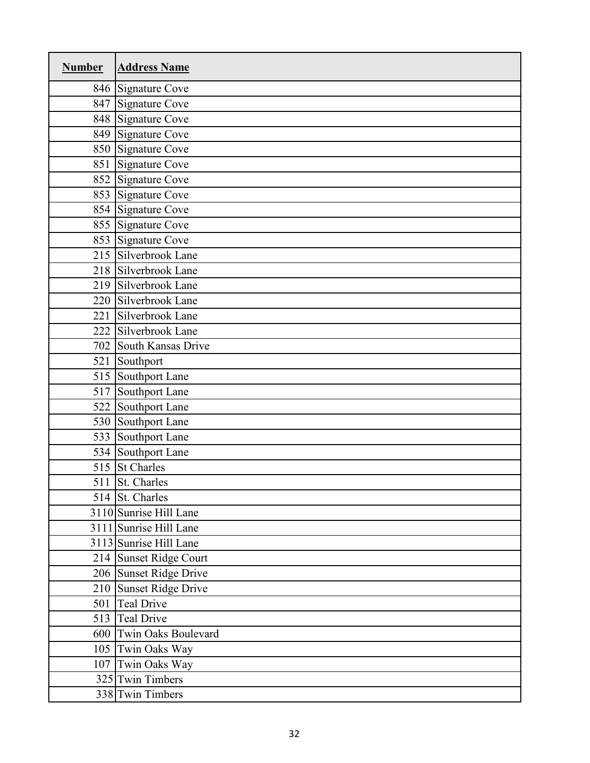| <b>Number</b> | <b>Address Name</b>     |
|---------------|-------------------------|
|               | 846 Signature Cove      |
| 847           | <b>Signature Cove</b>   |
|               | 848 Signature Cove      |
| 849           | <b>Signature Cove</b>   |
|               | 850 Signature Cove      |
| 851           | <b>Signature Cove</b>   |
|               | 852 Signature Cove      |
| 853           | Signature Cove          |
|               | 854 Signature Cove      |
|               | 855 Signature Cove      |
|               | 853 Signature Cove      |
|               | 215 Silverbrook Lane    |
|               | 218 Silverbrook Lane    |
|               | 219 Silverbrook Lane    |
|               | 220 Silverbrook Lane    |
| 221           | Silverbrook Lane        |
| 222           | Silverbrook Lane        |
|               | 702 South Kansas Drive  |
| 521           | Southport               |
| 515           | Southport Lane          |
| 517           | Southport Lane          |
| 522           | Southport Lane          |
| 530           | Southport Lane          |
| 533           | Southport Lane          |
|               | 534 Southport Lane      |
|               | 515 St Charles          |
|               | 511 St. Charles         |
|               | 514 St. Charles         |
|               | 3110 Sunrise Hill Lane  |
|               | 3111 Sunrise Hill Lane  |
|               | 3113 Sunrise Hill Lane  |
|               | 214 Sunset Ridge Court  |
|               | 206 Sunset Ridge Drive  |
|               | 210 Sunset Ridge Drive  |
| 501           | <b>Teal Drive</b>       |
|               | 513 Teal Drive          |
|               | 600 Twin Oaks Boulevard |
|               | 105 Twin Oaks Way       |
|               | 107 Twin Oaks Way       |
|               | 325 Twin Timbers        |
|               | 338 Twin Timbers        |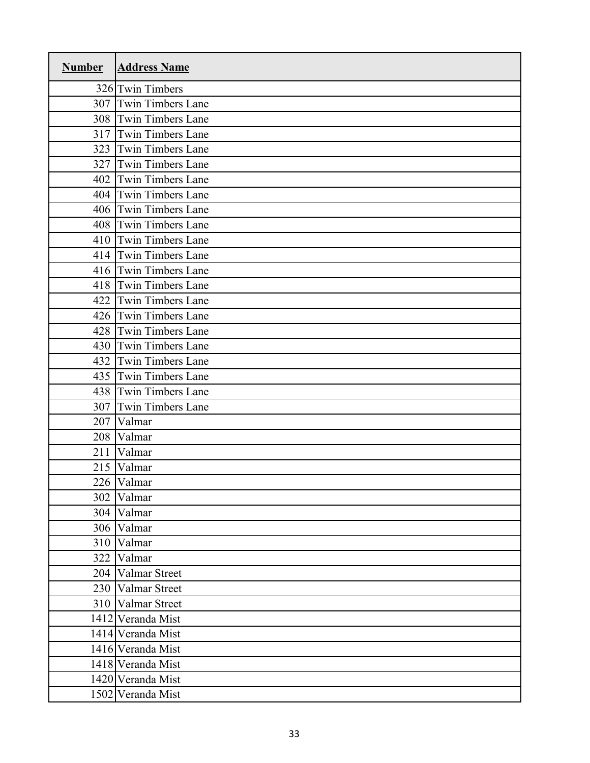| <b>Number</b> | <b>Address Name</b>      |
|---------------|--------------------------|
|               | 326 Twin Timbers         |
| 307           | <b>Twin Timbers Lane</b> |
| 308           | <b>Twin Timbers Lane</b> |
| 317           | <b>Twin Timbers Lane</b> |
| 323           | <b>Twin Timbers Lane</b> |
| 327           | <b>Twin Timbers Lane</b> |
| 402           | <b>Twin Timbers Lane</b> |
| 404           | <b>Twin Timbers Lane</b> |
| 406           | <b>Twin Timbers Lane</b> |
| 408           | <b>Twin Timbers Lane</b> |
| 410           | <b>Twin Timbers Lane</b> |
| 414           | <b>Twin Timbers Lane</b> |
| 416           | Twin Timbers Lane        |
| 418           | <b>Twin Timbers Lane</b> |
| 422           | <b>Twin Timbers Lane</b> |
| 426           | <b>Twin Timbers Lane</b> |
| 428           | <b>Twin Timbers Lane</b> |
| 430           | <b>Twin Timbers Lane</b> |
| 432           | <b>Twin Timbers Lane</b> |
| 435           | <b>Twin Timbers Lane</b> |
| 438           | <b>Twin Timbers Lane</b> |
| 307           | <b>Twin Timbers Lane</b> |
| 207           | Valmar                   |
| 208           | Valmar                   |
| 211           | Valmar                   |
| 215           | Valmar                   |
|               | 226 Valmar               |
| 302           | Valmar                   |
| 304           | Valmar                   |
| 306           | Valmar                   |
| 310           | Valmar                   |
| 322           | Valmar                   |
| 204           | Valmar Street            |
| 230           | Valmar Street            |
| 310           | Valmar Street            |
|               | 1412 Veranda Mist        |
|               | 1414 Veranda Mist        |
|               | 1416 Veranda Mist        |
|               | 1418 Veranda Mist        |
|               | 1420 Veranda Mist        |
|               | 1502 Veranda Mist        |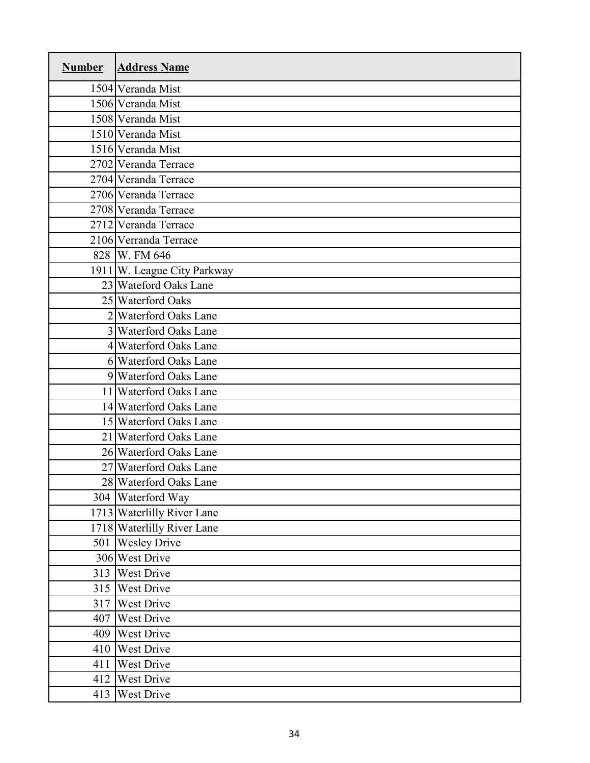| <b>Number</b> | <b>Address Name</b>                 |
|---------------|-------------------------------------|
|               | 1504 Veranda Mist                   |
|               | 1506 Veranda Mist                   |
|               | 1508 Veranda Mist                   |
|               | 1510 Veranda Mist                   |
|               | 1516 Veranda Mist                   |
|               | 2702 Veranda Terrace                |
|               | 2704 Veranda Terrace                |
|               | 2706 Veranda Terrace                |
|               | 2708 Veranda Terrace                |
|               | 2712 Veranda Terrace                |
|               | 2106 Verranda Terrace               |
|               | 828 W. FM 646                       |
|               | 1911 W. League City Parkway         |
|               | 23 Wateford Oaks Lane               |
|               | 25 Waterford Oaks                   |
|               | 2 Waterford Oaks Lane               |
|               | 3 Waterford Oaks Lane               |
|               | 4 Waterford Oaks Lane               |
|               | 6 Waterford Oaks Lane               |
|               | 9 Waterford Oaks Lane               |
|               | $\overline{11}$ Waterford Oaks Lane |
|               | 14 Waterford Oaks Lane              |
|               | 15 Waterford Oaks Lane              |
|               | 21 Waterford Oaks Lane              |
|               | 26 Waterford Oaks Lane              |
|               | 27 Waterford Oaks Lane              |
|               | 28 Waterford Oaks Lane              |
|               | 304 Waterford Way                   |
|               | 1713 Waterlilly River Lane          |
|               | 1718 Waterlilly River Lane          |
| 501           | <b>Wesley Drive</b>                 |
|               | 306 West Drive                      |
| 313           | West Drive                          |
| 315           | West Drive                          |
| 317           | West Drive                          |
| 407           | West Drive                          |
| 409           | West Drive                          |
| 410           | West Drive                          |
| 411           | West Drive                          |
| 412           | West Drive                          |
| 413           | West Drive                          |